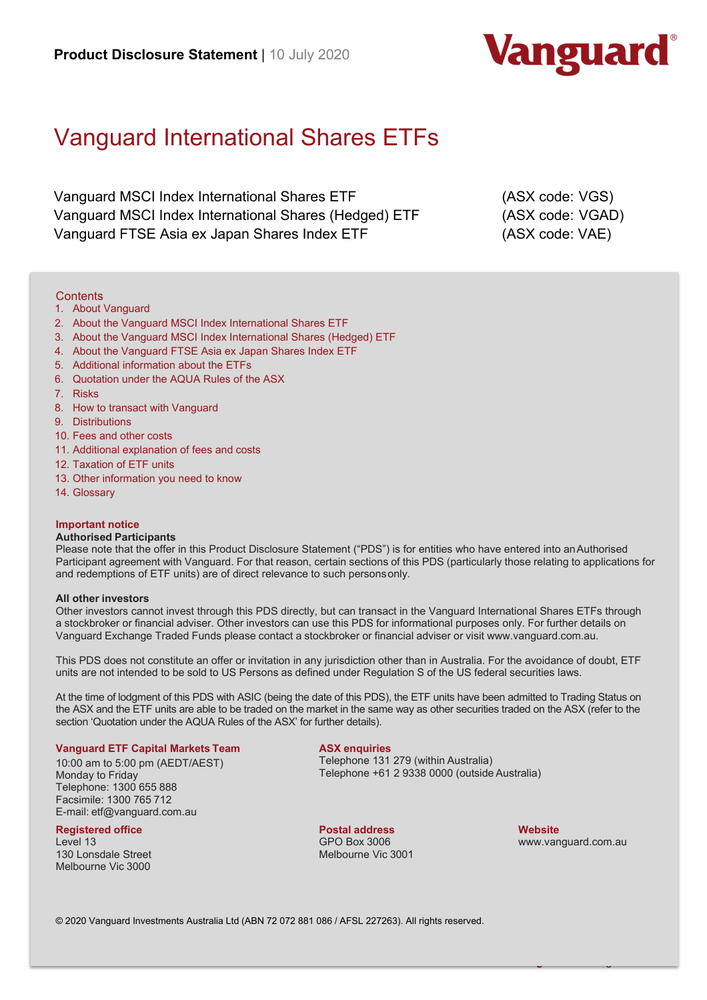

# Vanguard International Shares ETFs

Vanguard MSCI Index International Shares ETF (ASX code: VGS) Vanguard MSCI Index International Shares (Hedged) ETF (ASX code: VGAD) Vanguard FTSE Asia ex Japan Shares Index ETF (ASX code: VAE)

### **Contents**

- 1. About Vanguard
- 2. About the Vanguard MSCI Index International Shares ETF
- 3. About the Vanguard MSCI Index International Shares (Hedged) ETF
- 4. About the Vanguard FTSE Asia ex Japan Shares Index ETF
- 5. Additional information about the ETFs
- 6. Quotation under the AQUA Rules of the ASX
- 7. Risks
- 8. How to transact with Vanguard
- 9. Distributions
- 10. Fees and other costs
- 11. Additional explanation of fees and costs
- 12. Taxation of ETF units
- 13. Other information you need to know
- 14. Glossary

### **Important notice**

#### **Authorised Participants**

Please note that the offer in this Product Disclosure Statement ("PDS") is for entities who have entered into an Authorised Participant agreement with Vanguard. For that reason, certain sections of this PDS (particularly those relating to applications for and redemptions of ETF units) are of direct relevance to such personsonly.

#### **All other investors**

Other investors cannot invest through this PDS directly, but can transact in the Vanguard International Shares ETFs through a stockbroker or financial adviser. Other investors can use this PDS for informational purposes only. For further details on Vanguard Exchange Traded Funds please contact a stockbroker or financial adviser or visit www.vanguard.com.au.

This PDS does not constitute an offer or invitation in any jurisdiction other than in Australia. For the avoidance of doubt, ETF units are not intended to be sold to US Persons as defined under Regulation S of the US federal securities laws.

At the time of lodgment of this PDS with ASIC (being the date of this PDS), the ETF units have been admitted to Trading Status on the ASX and the ETF units are able to be traded on the market in the same way as other securities traded on the ASX (refer to the section 'Quotation under the AQUA Rules of the ASX' for further details).

#### **Vanguard ETF Capital Markets Team**

10:00 am to 5:00 pm (AEDT/AEST) Monday to Friday Telephone: 1300 655 888 Facsimile: 1300 765 712 E-mail: etf@vanguard.com.au

#### **Registered office**

Level 13 130 Lonsdale Street Melbourne Vic 3000

### **ASX enquiries**

Telephone 131 279 (within Australia) Telephone +61 2 9338 0000 (outside Australia)

**Postal address** GPO Box 3006 Melbourne Vic 3001

1 **Vanguard™** > vanguard.com.au

**Website** www.vanguard.com.au

© 2020 Vanguard Investments Australia Ltd (ABN 72 072 881 086 / AFSL 227263). All rights reserved.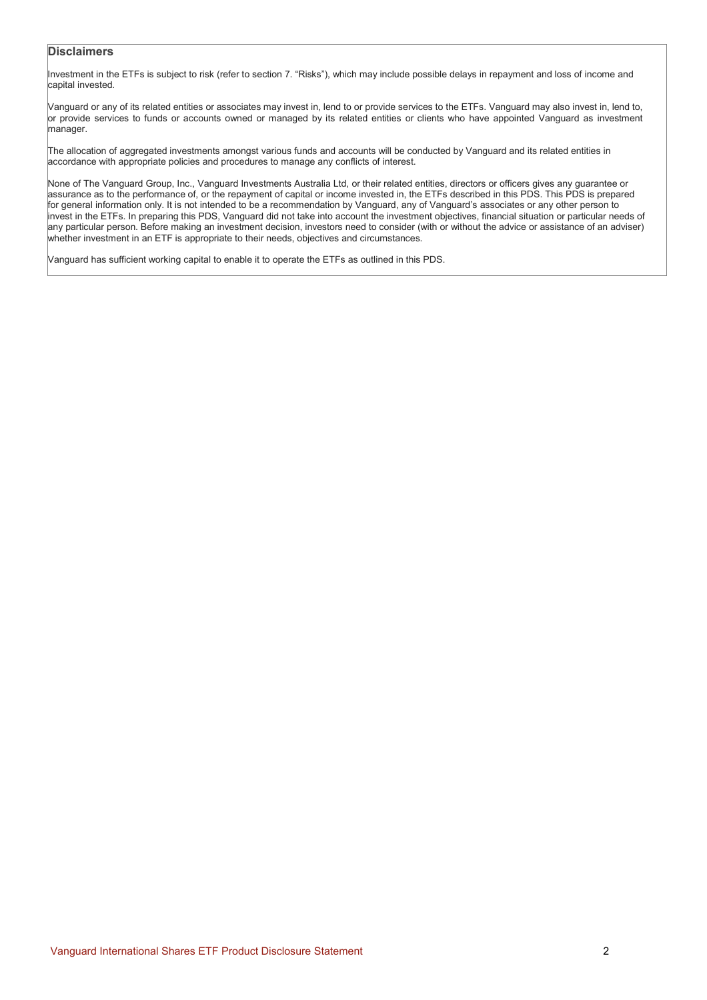# **Disclaimers**

Investment in the ETFs is subject to risk (refer to section 7. "Risks"), which may include possible delays in repayment and loss of income and capital invested.

Vanguard or any of its related entities or associates may invest in, lend to or provide services to the ETFs. Vanguard may also invest in, lend to, or provide services to funds or accounts owned or managed by its related entities or clients who have appointed Vanguard as investment manager.

The allocation of aggregated investments amongst various funds and accounts will be conducted by Vanguard and its related entities in accordance with appropriate policies and procedures to manage any conflicts of interest.

None of The Vanguard Group, Inc., Vanguard Investments Australia Ltd, or their related entities, directors or officers gives any guarantee or assurance as to the performance of, or the repayment of capital or income invested in, the ETFs described in this PDS. This PDS is prepared for general information only. It is not intended to be a recommendation by Vanguard, any of Vanguard's associates or any other person to invest in the ETFs. In preparing this PDS, Vanguard did not take into account the investment objectives, financial situation or particular needs of any particular person. Before making an investment decision, investors need to consider (with or without the advice or assistance of an adviser) whether investment in an ETF is appropriate to their needs, objectives and circumstances.

Vanguard has sufficient working capital to enable it to operate the ETFs as outlined in this PDS.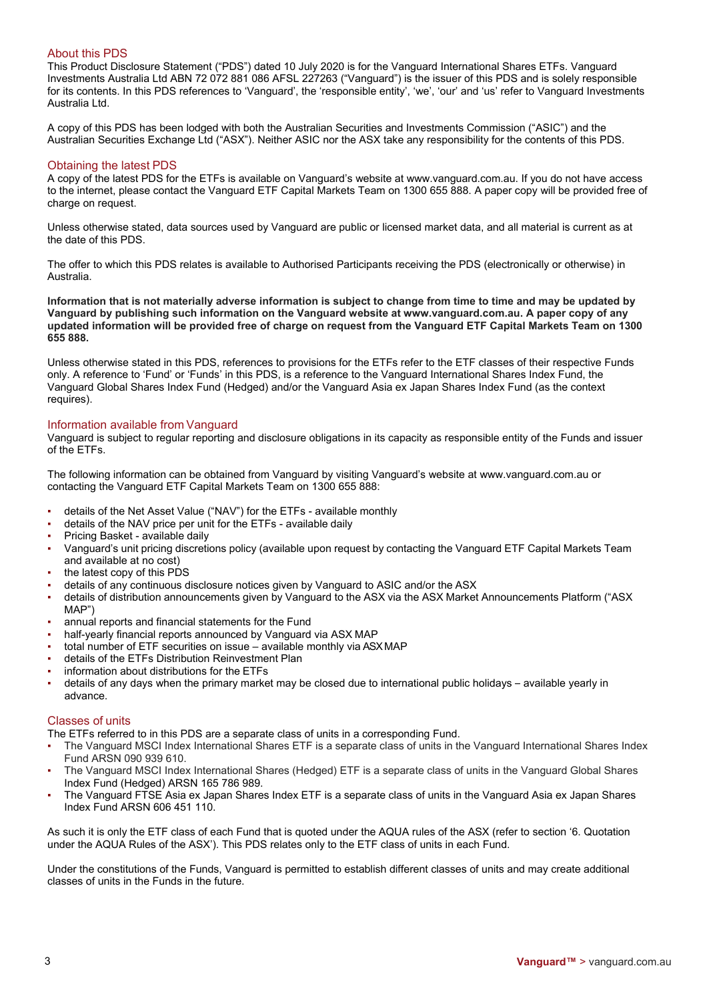# About this PDS

This Product Disclosure Statement ("PDS") dated 10 July 2020 is for the Vanguard International Shares ETFs. Vanguard Investments Australia Ltd ABN 72 072 881 086 AFSL 227263 ("Vanguard") is the issuer of this PDS and is solely responsible for its contents. In this PDS references to 'Vanguard', the 'responsible entity', 'we', 'our' and 'us' refer to Vanguard Investments Australia Ltd.

A copy of this PDS has been lodged with both the Australian Securities and Investments Commission ("ASIC") and the Australian Securities Exchange Ltd ("ASX"). Neither ASIC nor the ASX take any responsibility for the contents of this PDS.

### Obtaining the latest PDS

A copy of the latest PDS for the ETFs is available on Vanguard's website at www.vanguard.com.au. If you do not have access to the internet, please contact the Vanguard ETF Capital Markets Team on 1300 655 888. A paper copy will be provided free of charge on request.

Unless otherwise stated, data sources used by Vanguard are public or licensed market data, and all material is current as at the date of this PDS.

The offer to which this PDS relates is available to Authorised Participants receiving the PDS (electronically or otherwise) in Australia.

**Information that is not materially adverse information is subject to change from time to time and may be updated by Vanguard by publishing such information on the Vanguard website at www.vanguard.com.au. A paper copy of any updated information will be provided free of charge on request from the Vanguard ETF Capital Markets Team on 1300 655 888.**

Unless otherwise stated in this PDS, references to provisions for the ETFs refer to the ETF classes of their respective Funds only. A reference to 'Fund' or 'Funds' in this PDS, is a reference to the Vanguard International Shares Index Fund, the Vanguard Global Shares Index Fund (Hedged) and/or the Vanguard Asia ex Japan Shares Index Fund (as the context requires).

# Information available from Vanguard

Vanguard is subject to regular reporting and disclosure obligations in its capacity as responsible entity of the Funds and issuer of the ETFs.

The following information can be obtained from Vanguard by visiting Vanguard's website at www.vanguard.com.au or contacting the Vanguard ETF Capital Markets Team on 1300 655 888:

- details of the Net Asset Value ("NAV") for the ETFs available monthly
- details of the NAV price per unit for the ETFs available daily
- Pricing Basket available daily
- Vanguard's unit pricing discretions policy (available upon request by contacting the Vanguard ETF Capital Markets Team and available at no cost)
- the latest copy of this PDS
- details of any continuous disclosure notices given by Vanguard to ASIC and/or the ASX
- details of distribution announcements given by Vanguard to the ASX via the ASX Market Announcements Platform ("ASX MAP")
- annual reports and financial statements for the Fund
- half-yearly financial reports announced by Vanguard via ASX MAP
- total number of ETF securities on issue available monthly via ASXMAP
- details of the ETFs Distribution Reinvestment Plan
- information about distributions for the ETFs
- details of any days when the primary market may be closed due to international public holidays available yearly in advance.

# Classes of units

The ETFs referred to in this PDS are a separate class of units in a corresponding Fund.

- The Vanguard MSCI Index International Shares ETF is a separate class of units in the Vanguard International Shares Index Fund ARSN 090 939 610.
- The Vanguard MSCI Index International Shares (Hedged) ETF is a separate class of units in the Vanguard Global Shares Index Fund (Hedged) ARSN 165 786 989.
- The Vanguard FTSE Asia ex Japan Shares Index ETF is a separate class of units in the Vanguard Asia ex Japan Shares Index Fund ARSN 606 451 110.

As such it is only the ETF class of each Fund that is quoted under the AQUA rules of the ASX (refer to section '6. Quotation under the AQUA Rules of the ASX'). This PDS relates only to the ETF class of units in each Fund.

Under the constitutions of the Funds, Vanguard is permitted to establish different classes of units and may create additional classes of units in the Funds in the future.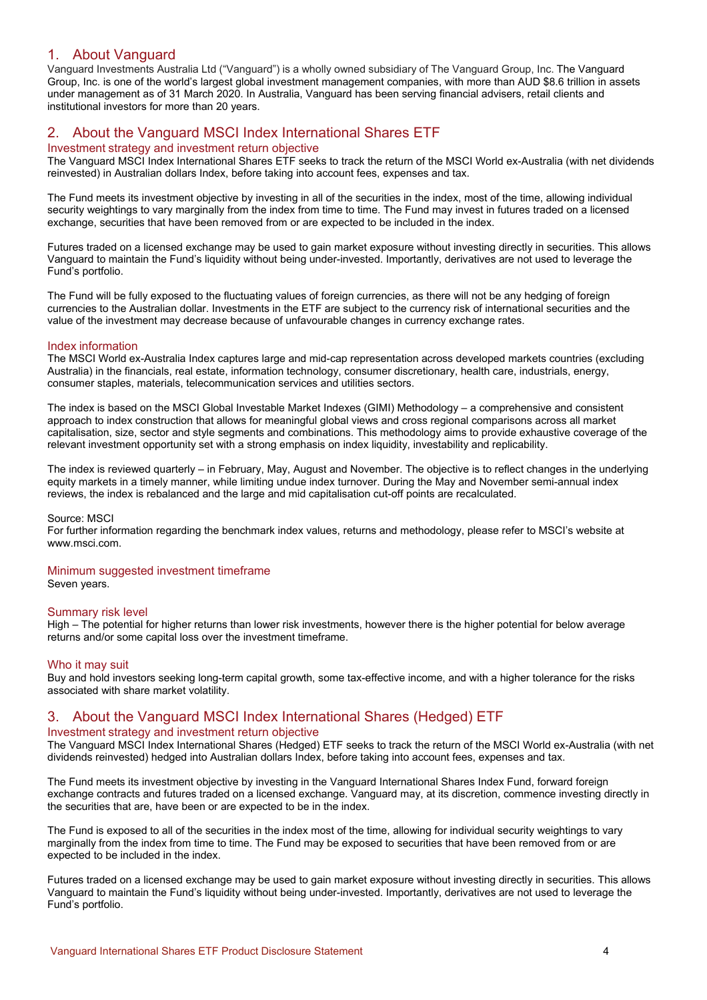# 1. About Vanguard

Vanguard Investments Australia Ltd ("Vanguard") is a wholly owned subsidiary of The Vanguard Group, Inc. The Vanguard Group, Inc. is one of the world's largest global investment management companies, with more than AUD \$8.6 trillion in assets under management as of 31 March 2020. In Australia, Vanguard has been serving financial advisers, retail clients and institutional investors for more than 20 years.

# 2. About the Vanguard MSCI Index International Shares ETF

### Investment strategy and investment return objective

The Vanguard MSCI Index International Shares ETF seeks to track the return of the MSCI World ex-Australia (with net dividends reinvested) in Australian dollars Index, before taking into account fees, expenses and tax.

The Fund meets its investment objective by investing in all of the securities in the index, most of the time, allowing individual security weightings to vary marginally from the index from time to time. The Fund may invest in futures traded on a licensed exchange, securities that have been removed from or are expected to be included in the index.

Futures traded on a licensed exchange may be used to gain market exposure without investing directly in securities. This allows Vanguard to maintain the Fund's liquidity without being under-invested. Importantly, derivatives are not used to leverage the Fund's portfolio.

The Fund will be fully exposed to the fluctuating values of foreign currencies, as there will not be any hedging of foreign currencies to the Australian dollar. Investments in the ETF are subject to the currency risk of international securities and the value of the investment may decrease because of unfavourable changes in currency exchange rates.

### Index information

The MSCI World ex-Australia Index captures large and mid-cap representation across developed markets countries (excluding Australia) in the financials, real estate, information technology, consumer discretionary, health care, industrials, energy, consumer staples, materials, telecommunication services and utilities sectors.

The index is based on the MSCI Global Investable Market Indexes (GIMI) Methodology – a comprehensive and consistent approach to index construction that allows for meaningful global views and cross regional comparisons across all market capitalisation, size, sector and style segments and combinations. This methodology aims to provide exhaustive coverage of the relevant investment opportunity set with a strong emphasis on index liquidity, investability and replicability.

The index is reviewed quarterly – in February, May, August and November. The objective is to reflect changes in the underlying equity markets in a timely manner, while limiting undue index turnover. During the May and November semi-annual index reviews, the index is rebalanced and the large and mid capitalisation cut-off points are recalculated.

### Source: MSCI

For further information regarding the benchmark index values, returns and methodology, please refer to MSCI's website at www.msci.com.

# Minimum suggested investment timeframe

Seven years.

# Summary risk level

High – The potential for higher returns than lower risk investments, however there is the higher potential for below average returns and/or some capital loss over the investment timeframe.

### Who it may suit

Buy and hold investors seeking long-term capital growth, some tax-effective income, and with a higher tolerance for the risks associated with share market volatility.

# 3. About the Vanguard MSCI Index International Shares (Hedged) ETF

# Investment strategy and investment return objective

The Vanguard MSCI Index International Shares (Hedged) ETF seeks to track the return of the MSCI World ex-Australia (with net dividends reinvested) hedged into Australian dollars Index, before taking into account fees, expenses and tax.

The Fund meets its investment objective by investing in the Vanguard International Shares Index Fund, forward foreign exchange contracts and futures traded on a licensed exchange. Vanguard may, at its discretion, commence investing directly in the securities that are, have been or are expected to be in the index.

The Fund is exposed to all of the securities in the index most of the time, allowing for individual security weightings to vary marginally from the index from time to time. The Fund may be exposed to securities that have been removed from or are expected to be included in the index.

Futures traded on a licensed exchange may be used to gain market exposure without investing directly in securities. This allows Vanguard to maintain the Fund's liquidity without being under-invested. Importantly, derivatives are not used to leverage the Fund's portfolio.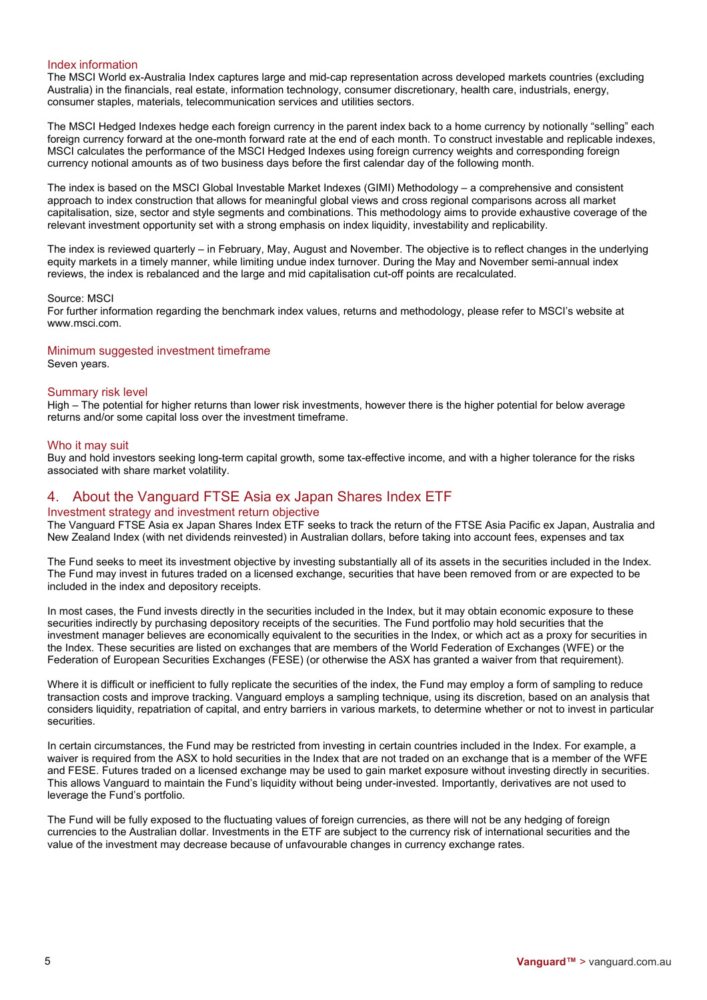# Index information

The MSCI World ex-Australia Index captures large and mid-cap representation across developed markets countries (excluding Australia) in the financials, real estate, information technology, consumer discretionary, health care, industrials, energy, consumer staples, materials, telecommunication services and utilities sectors.

The MSCI Hedged Indexes hedge each foreign currency in the parent index back to a home currency by notionally "selling" each foreign currency forward at the one-month forward rate at the end of each month. To construct investable and replicable indexes, MSCI calculates the performance of the MSCI Hedged Indexes using foreign currency weights and corresponding foreign currency notional amounts as of two business days before the first calendar day of the following month.

The index is based on the MSCI Global Investable Market Indexes (GIMI) Methodology – a comprehensive and consistent approach to index construction that allows for meaningful global views and cross regional comparisons across all market capitalisation, size, sector and style segments and combinations. This methodology aims to provide exhaustive coverage of the relevant investment opportunity set with a strong emphasis on index liquidity, investability and replicability.

The index is reviewed quarterly – in February, May, August and November. The objective is to reflect changes in the underlying equity markets in a timely manner, while limiting undue index turnover. During the May and November semi-annual index reviews, the index is rebalanced and the large and mid capitalisation cut-off points are recalculated.

#### Source: MSCI

For further information regarding the benchmark index values, returns and methodology, please refer to MSCI's website at www.msci.com.

### Minimum suggested investment timeframe

Seven years.

### Summary risk level

High – The potential for higher returns than lower risk investments, however there is the higher potential for below average returns and/or some capital loss over the investment timeframe.

### Who it may suit

Buy and hold investors seeking long-term capital growth, some tax-effective income, and with a higher tolerance for the risks associated with share market volatility.

# 4. About the Vanguard FTSE Asia ex Japan Shares Index ETF

# Investment strategy and investment return objective

The Vanguard FTSE Asia ex Japan Shares Index ETF seeks to track the return of the FTSE Asia Pacific ex Japan, Australia and New Zealand Index (with net dividends reinvested) in Australian dollars, before taking into account fees, expenses and tax

The Fund seeks to meet its investment objective by investing substantially all of its assets in the securities included in the Index. The Fund may invest in futures traded on a licensed exchange, securities that have been removed from or are expected to be included in the index and depository receipts.

In most cases, the Fund invests directly in the securities included in the Index, but it may obtain economic exposure to these securities indirectly by purchasing depository receipts of the securities. The Fund portfolio may hold securities that the investment manager believes are economically equivalent to the securities in the Index, or which act as a proxy for securities in the Index. These securities are listed on exchanges that are members of the World Federation of Exchanges (WFE) or the Federation of European Securities Exchanges (FESE) (or otherwise the ASX has granted a waiver from that requirement).

Where it is difficult or inefficient to fully replicate the securities of the index, the Fund may employ a form of sampling to reduce transaction costs and improve tracking. Vanguard employs a sampling technique, using its discretion, based on an analysis that considers liquidity, repatriation of capital, and entry barriers in various markets, to determine whether or not to invest in particular securities.

In certain circumstances, the Fund may be restricted from investing in certain countries included in the Index. For example, a waiver is required from the ASX to hold securities in the Index that are not traded on an exchange that is a member of the WFE and FESE. Futures traded on a licensed exchange may be used to gain market exposure without investing directly in securities. This allows Vanguard to maintain the Fund's liquidity without being under-invested. Importantly, derivatives are not used to leverage the Fund's portfolio.

The Fund will be fully exposed to the fluctuating values of foreign currencies, as there will not be any hedging of foreign currencies to the Australian dollar. Investments in the ETF are subject to the currency risk of international securities and the value of the investment may decrease because of unfavourable changes in currency exchange rates.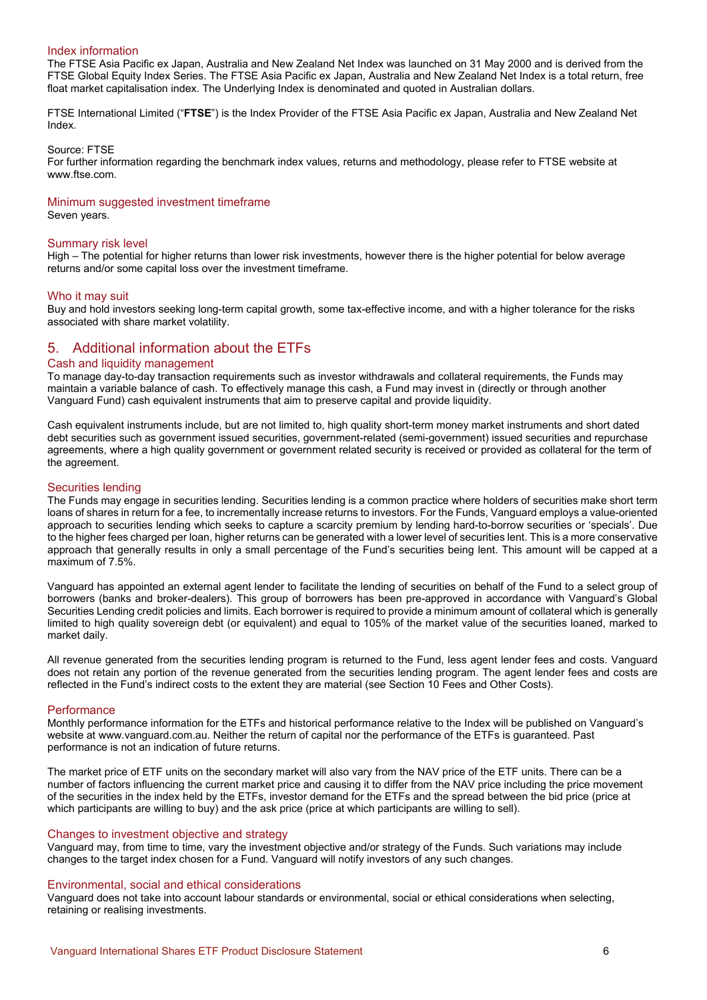### Index information

The FTSE Asia Pacific ex Japan, Australia and New Zealand Net Index was launched on 31 May 2000 and is derived from the FTSE Global Equity Index Series. The FTSE Asia Pacific ex Japan, Australia and New Zealand Net Index is a total return, free float market capitalisation index. The Underlying Index is denominated and quoted in Australian dollars.

FTSE International Limited ("**FTSE**") is the Index Provider of the FTSE Asia Pacific ex Japan, Australia and New Zealand Net Index.

Source: FTSE

For further information regarding the benchmark index values, returns and methodology, please refer to FTSE website at www.ftse.com.

### Minimum suggested investment timeframe

Seven years.

### Summary risk level

High – The potential for higher returns than lower risk investments, however there is the higher potential for below average returns and/or some capital loss over the investment timeframe.

#### Who it may suit

Buy and hold investors seeking long-term capital growth, some tax-effective income, and with a higher tolerance for the risks associated with share market volatility.

# 5. Additional information about the ETFs

### Cash and liquidity management

To manage day-to-day transaction requirements such as investor withdrawals and collateral requirements, the Funds may maintain a variable balance of cash. To effectively manage this cash, a Fund may invest in (directly or through another Vanguard Fund) cash equivalent instruments that aim to preserve capital and provide liquidity.

Cash equivalent instruments include, but are not limited to, high quality short-term money market instruments and short dated debt securities such as government issued securities, government-related (semi-government) issued securities and repurchase agreements, where a high quality government or government related security is received or provided as collateral for the term of the agreement.

### Securities lending

The Funds may engage in securities lending. Securities lending is a common practice where holders of securities make short term loans of shares in return for a fee, to incrementally increase returns to investors. For the Funds, Vanguard employs a value-oriented approach to securities lending which seeks to capture a scarcity premium by lending hard-to-borrow securities or 'specials'. Due to the higher fees charged per loan, higher returns can be generated with a lower level of securities lent. This is a more conservative approach that generally results in only a small percentage of the Fund's securities being lent. This amount will be capped at a maximum of 7.5%.

Vanguard has appointed an external agent lender to facilitate the lending of securities on behalf of the Fund to a select group of borrowers (banks and broker-dealers). This group of borrowers has been pre-approved in accordance with Vanguard's Global Securities Lending credit policies and limits. Each borrower is required to provide a minimum amount of collateral which is generally limited to high quality sovereign debt (or equivalent) and equal to 105% of the market value of the securities loaned, marked to market daily.

All revenue generated from the securities lending program is returned to the Fund, less agent lender fees and costs. Vanguard does not retain any portion of the revenue generated from the securities lending program. The agent lender fees and costs are reflected in the Fund's indirect costs to the extent they are material (see Section 10 Fees and Other Costs).

#### **Performance**

Monthly performance information for the ETFs and historical performance relative to the Index will be published on Vanguard's website at www.vanguard.com.au. Neither the return of capital nor the performance of the ETFs is guaranteed. Past performance is not an indication of future returns.

The market price of ETF units on the secondary market will also vary from the NAV price of the ETF units. There can be a number of factors influencing the current market price and causing it to differ from the NAV price including the price movement of the securities in the index held by the ETFs, investor demand for the ETFs and the spread between the bid price (price at which participants are willing to buy) and the ask price (price at which participants are willing to sell).

# Changes to investment objective and strategy

Vanguard may, from time to time, vary the investment objective and/or strategy of the Funds. Such variations may include changes to the target index chosen for a Fund. Vanguard will notify investors of any such changes.

#### Environmental, social and ethical considerations

Vanguard does not take into account labour standards or environmental, social or ethical considerations when selecting, retaining or realising investments.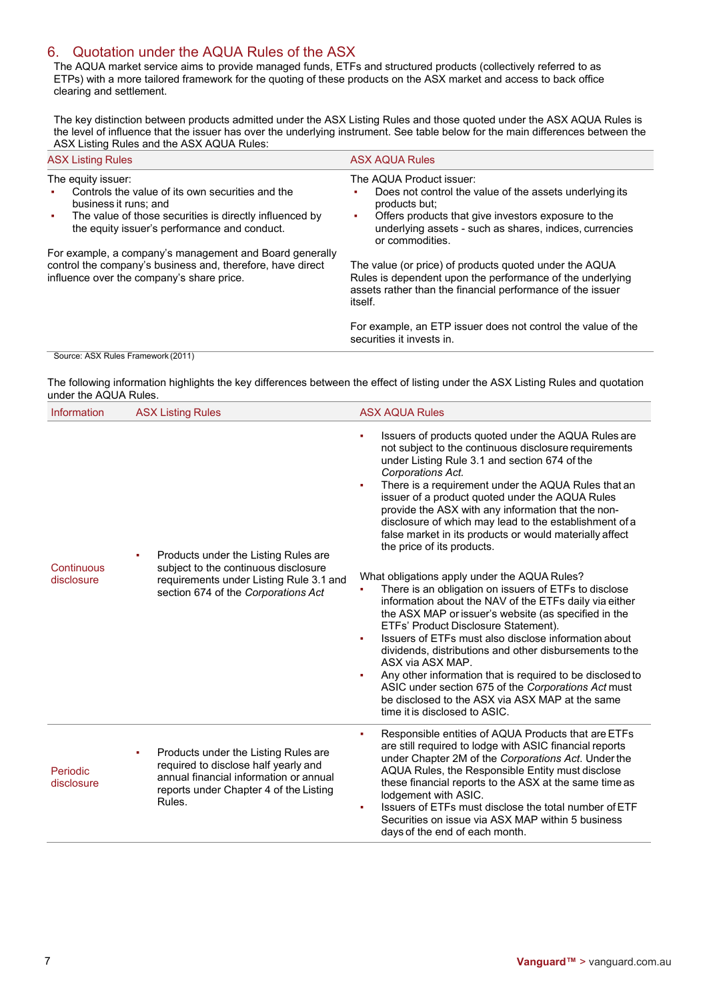# 6. Quotation under the AQUA Rules of the ASX

The AQUA market service aims to provide managed funds, ETFs and structured products (collectively referred to as ETPs) with a more tailored framework for the quoting of these products on the ASX market and access to back office clearing and settlement.

The key distinction between products admitted under the ASX Listing Rules and those quoted under the ASX AQUA Rules is the level of influence that the issuer has over the underlying instrument. See table below for the main differences between the ASX Listing Rules and the ASX AQUA Rules:

| <b>ASX Listing Rules</b>                                                                                                                                                                                             | <b>ASX AQUA Rules</b>                                                                                                                                                                                                                          |
|----------------------------------------------------------------------------------------------------------------------------------------------------------------------------------------------------------------------|------------------------------------------------------------------------------------------------------------------------------------------------------------------------------------------------------------------------------------------------|
| The equity issuer:<br>Controls the value of its own securities and the<br>٠<br>business it runs: and<br>The value of those securities is directly influenced by<br>٠<br>the equity issuer's performance and conduct. | The AQUA Product issuer:<br>Does not control the value of the assets underlying its<br>products but:<br>Offers products that give investors exposure to the<br>٠<br>underlying assets - such as shares, indices, currencies<br>or commodities. |
| For example, a company's management and Board generally<br>control the company's business and, therefore, have direct<br>influence over the company's share price.                                                   | The value (or price) of products quoted under the AQUA<br>Rules is dependent upon the performance of the underlying<br>assets rather than the financial performance of the issuer<br>itself.                                                   |
|                                                                                                                                                                                                                      | For example, an ETP issuer does not control the value of the<br>securities it invests in.                                                                                                                                                      |
| Source: ASX Rules Framework (2011)                                                                                                                                                                                   |                                                                                                                                                                                                                                                |

The following information highlights the key differences between the effect of listing under the ASX Listing Rules and quotation under the AQUA Rules.

| Information                   | <b>ASX Listing Rules</b>                                                                                                                                                        | <b>ASX AQUA Rules</b>                                                                                                                                                                                                                                                                                                                                                                                                                                                                                                                                            |
|-------------------------------|---------------------------------------------------------------------------------------------------------------------------------------------------------------------------------|------------------------------------------------------------------------------------------------------------------------------------------------------------------------------------------------------------------------------------------------------------------------------------------------------------------------------------------------------------------------------------------------------------------------------------------------------------------------------------------------------------------------------------------------------------------|
| ٠<br>Continuous<br>disclosure | Products under the Listing Rules are<br>subject to the continuous disclosure<br>requirements under Listing Rule 3.1 and                                                         | Issuers of products quoted under the AQUA Rules are<br>٠<br>not subject to the continuous disclosure requirements<br>under Listing Rule 3.1 and section 674 of the<br>Corporations Act.<br>There is a requirement under the AQUA Rules that an<br>×.<br>issuer of a product quoted under the AQUA Rules<br>provide the ASX with any information that the non-<br>disclosure of which may lead to the establishment of a<br>false market in its products or would materially affect<br>the price of its products.<br>What obligations apply under the AQUA Rules? |
|                               | section 674 of the Corporations Act                                                                                                                                             | There is an obligation on issuers of ETFs to disclose<br>information about the NAV of the ETFs daily via either<br>the ASX MAP or issuer's website (as specified in the<br>ETFs' Product Disclosure Statement).<br>Issuers of ETFs must also disclose information about<br>dividends, distributions and other disbursements to the<br>ASX via ASX MAP.<br>Any other information that is required to be disclosed to<br>ASIC under section 675 of the Corporations Act must<br>be disclosed to the ASX via ASX MAP at the same<br>time it is disclosed to ASIC.   |
| Periodic<br>disclosure        | Products under the Listing Rules are<br>٠<br>required to disclose half yearly and<br>annual financial information or annual<br>reports under Chapter 4 of the Listing<br>Rules. | Responsible entities of AQUA Products that are ETFs<br>٠<br>are still required to lodge with ASIC financial reports<br>under Chapter 2M of the Corporations Act. Under the<br>AQUA Rules, the Responsible Entity must disclose<br>these financial reports to the ASX at the same time as<br>lodgement with ASIC.<br>Issuers of ETFs must disclose the total number of ETF<br>٠<br>Securities on issue via ASX MAP within 5 business<br>days of the end of each month.                                                                                            |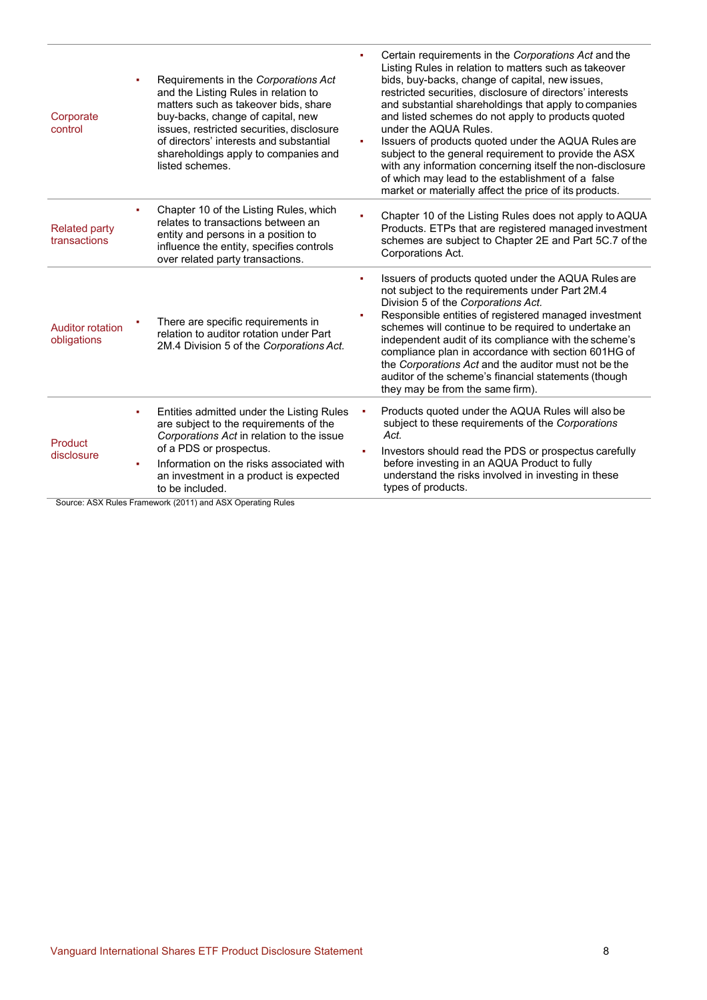| Corporate<br>control                   | Requirements in the Corporations Act<br>٠<br>and the Listing Rules in relation to<br>matters such as takeover bids, share<br>buy-backs, change of capital, new<br>issues, restricted securities, disclosure<br>of directors' interests and substantial<br>shareholdings apply to companies and<br>listed schemes. | Certain requirements in the Corporations Act and the<br>Listing Rules in relation to matters such as takeover<br>bids, buy-backs, change of capital, new issues,<br>restricted securities, disclosure of directors' interests<br>and substantial shareholdings that apply to companies<br>and listed schemes do not apply to products quoted<br>under the AQUA Rules.<br>Issuers of products quoted under the AQUA Rules are<br>×.<br>subject to the general requirement to provide the ASX<br>with any information concerning itself the non-disclosure<br>of which may lead to the establishment of a false<br>market or materially affect the price of its products. |
|----------------------------------------|-------------------------------------------------------------------------------------------------------------------------------------------------------------------------------------------------------------------------------------------------------------------------------------------------------------------|-------------------------------------------------------------------------------------------------------------------------------------------------------------------------------------------------------------------------------------------------------------------------------------------------------------------------------------------------------------------------------------------------------------------------------------------------------------------------------------------------------------------------------------------------------------------------------------------------------------------------------------------------------------------------|
| <b>Related party</b><br>transactions   | Chapter 10 of the Listing Rules, which<br>٠<br>relates to transactions between an<br>entity and persons in a position to<br>influence the entity, specifies controls<br>over related party transactions.                                                                                                          | Chapter 10 of the Listing Rules does not apply to AQUA<br>Products. ETPs that are registered managed investment<br>schemes are subject to Chapter 2E and Part 5C.7 of the<br>Corporations Act.                                                                                                                                                                                                                                                                                                                                                                                                                                                                          |
| <b>Auditor rotation</b><br>obligations | There are specific requirements in<br>relation to auditor rotation under Part<br>2M.4 Division 5 of the Corporations Act.                                                                                                                                                                                         | Issuers of products quoted under the AQUA Rules are<br>٠<br>not subject to the requirements under Part 2M.4<br>Division 5 of the Corporations Act.<br>Responsible entities of registered managed investment<br>schemes will continue to be required to undertake an<br>independent audit of its compliance with the scheme's<br>compliance plan in accordance with section 601HG of<br>the Corporations Act and the auditor must not be the<br>auditor of the scheme's financial statements (though<br>they may be from the same firm).                                                                                                                                 |
| Product<br>disclosure                  | Entities admitted under the Listing Rules<br>٠<br>are subject to the requirements of the<br>Corporations Act in relation to the issue<br>of a PDS or prospectus.<br>Information on the risks associated with<br>٠<br>an investment in a product is expected<br>to be included.                                    | Products quoted under the AQUA Rules will also be<br>subject to these requirements of the Corporations<br>Act.<br>Investors should read the PDS or prospectus carefully<br>before investing in an AQUA Product to fully<br>understand the risks involved in investing in these<br>types of products.                                                                                                                                                                                                                                                                                                                                                                    |

Source: ASX Rules Framework (2011) and ASX Operating Rules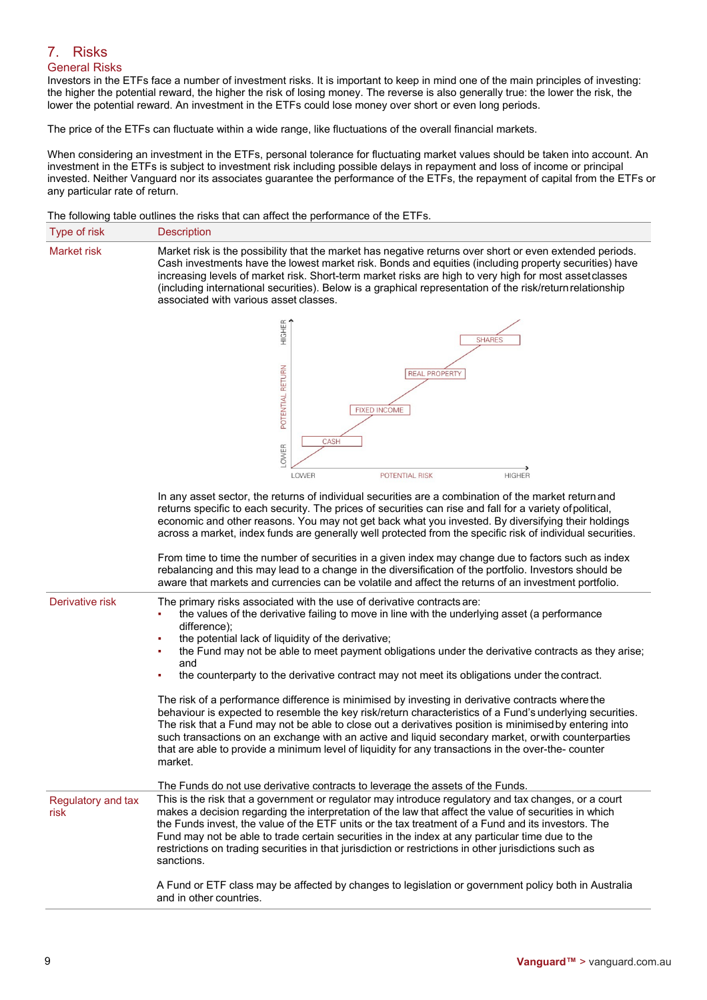# 7. Risks General Risks

Investors in the ETFs face a number of investment risks. It is important to keep in mind one of the main principles of investing: the higher the potential reward, the higher the risk of losing money. The reverse is also generally true: the lower the risk, the lower the potential reward. An investment in the ETFs could lose money over short or even long periods.

The price of the ETFs can fluctuate within a wide range, like fluctuations of the overall financial markets.

When considering an investment in the ETFs, personal tolerance for fluctuating market values should be taken into account. An investment in the ETFs is subject to investment risk including possible delays in repayment and loss of income or principal invested. Neither Vanguard nor its associates guarantee the performance of the ETFs, the repayment of capital from the ETFs or any particular rate of return.

The following table outlines the risks that can affect the performance of the ETFs.

| Type of risk | <b>Description</b>                                                                                                                                                                                                                                                                                                                                                                                                                                                                 |
|--------------|------------------------------------------------------------------------------------------------------------------------------------------------------------------------------------------------------------------------------------------------------------------------------------------------------------------------------------------------------------------------------------------------------------------------------------------------------------------------------------|
| Market risk  | Market risk is the possibility that the market has negative returns over short or even extended periods.<br>Cash investments have the lowest market risk. Bonds and equities (including property securities) have<br>increasing levels of market risk. Short-term market risks are high to very high for most asset classes<br>(including international securities). Below is a graphical representation of the risk/return relationship<br>associated with various asset classes. |
|              |                                                                                                                                                                                                                                                                                                                                                                                                                                                                                    |



In any asset sector, the returns of individual securities are a combination of the market return and returns specific to each security. The prices of securities can rise and fall for a variety ofpolitical, economic and other reasons. You may not get back what you invested. By diversifying their holdings across a market, index funds are generally well protected from the specific risk of individual securities.

From time to time the number of securities in a given index may change due to factors such as index rebalancing and this may lead to a change in the diversification of the portfolio. Investors should be aware that markets and currencies can be volatile and affect the returns of an investment portfolio.

|                                   | that mantolo and barronoloo barribo. Voldtho and anoot the rotarno or an invocutiont portions.                                                                                                                                                                                                                                                                                                                                                                                                                                                                                                                                                                                                                                           |
|-----------------------------------|------------------------------------------------------------------------------------------------------------------------------------------------------------------------------------------------------------------------------------------------------------------------------------------------------------------------------------------------------------------------------------------------------------------------------------------------------------------------------------------------------------------------------------------------------------------------------------------------------------------------------------------------------------------------------------------------------------------------------------------|
| Derivative risk                   | The primary risks associated with the use of derivative contracts are:<br>the values of the derivative failing to move in line with the underlying asset (a performance<br>difference);<br>the potential lack of liquidity of the derivative;<br>the Fund may not be able to meet payment obligations under the derivative contracts as they arise;<br>and<br>the counterparty to the derivative contract may not meet its obligations under the contract.                                                                                                                                                                                                                                                                               |
|                                   | The risk of a performance difference is minimised by investing in derivative contracts where the<br>behaviour is expected to resemble the key risk/return characteristics of a Fund's underlying securities.<br>The risk that a Fund may not be able to close out a derivatives position is minimised by entering into<br>such transactions on an exchange with an active and liquid secondary market, or with counterparties<br>that are able to provide a minimum level of liquidity for any transactions in the over-the- counter<br>market.                                                                                                                                                                                          |
| Regulatory and tax<br><b>risk</b> | The Funds do not use derivative contracts to leverage the assets of the Funds.<br>This is the risk that a government or regulator may introduce regulatory and tax changes, or a court<br>makes a decision regarding the interpretation of the law that affect the value of securities in which<br>the Funds invest, the value of the ETF units or the tax treatment of a Fund and its investors. The<br>Fund may not be able to trade certain securities in the index at any particular time due to the<br>restrictions on trading securities in that jurisdiction or restrictions in other jurisdictions such as<br>sanctions.<br>A Fund or ETF class may be affected by changes to legislation or government policy both in Australia |
|                                   | and in other countries.                                                                                                                                                                                                                                                                                                                                                                                                                                                                                                                                                                                                                                                                                                                  |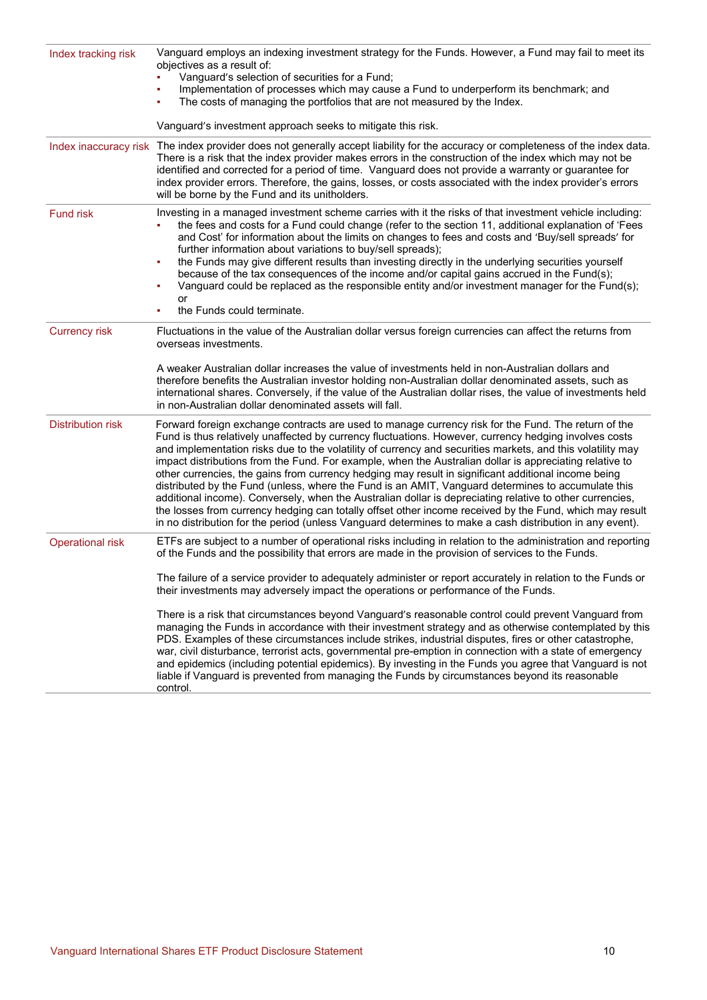| Index tracking risk      | Vanguard employs an indexing investment strategy for the Funds. However, a Fund may fail to meet its<br>objectives as a result of:<br>Vanguard's selection of securities for a Fund;<br>Implementation of processes which may cause a Fund to underperform its benchmark; and<br>The costs of managing the portfolios that are not measured by the Index.<br>٠<br>Vanguard's investment approach seeks to mitigate this risk.                                                                                                                                                                                                                                                                                                                                                                                                                                                                                                                                                                                                                                                       |  |
|--------------------------|-------------------------------------------------------------------------------------------------------------------------------------------------------------------------------------------------------------------------------------------------------------------------------------------------------------------------------------------------------------------------------------------------------------------------------------------------------------------------------------------------------------------------------------------------------------------------------------------------------------------------------------------------------------------------------------------------------------------------------------------------------------------------------------------------------------------------------------------------------------------------------------------------------------------------------------------------------------------------------------------------------------------------------------------------------------------------------------|--|
| Index inaccuracy risk    | The index provider does not generally accept liability for the accuracy or completeness of the index data.<br>There is a risk that the index provider makes errors in the construction of the index which may not be<br>identified and corrected for a period of time. Vanguard does not provide a warranty or guarantee for<br>index provider errors. Therefore, the gains, losses, or costs associated with the index provider's errors<br>will be borne by the Fund and its unitholders.                                                                                                                                                                                                                                                                                                                                                                                                                                                                                                                                                                                         |  |
| <b>Fund risk</b>         | Investing in a managed investment scheme carries with it the risks of that investment vehicle including:<br>the fees and costs for a Fund could change (refer to the section 11, additional explanation of 'Fees<br>and Cost' for information about the limits on changes to fees and costs and 'Buy/sell spreads' for<br>further information about variations to buy/sell spreads);<br>the Funds may give different results than investing directly in the underlying securities yourself<br>because of the tax consequences of the income and/or capital gains accrued in the Fund(s);<br>Vanguard could be replaced as the responsible entity and/or investment manager for the Fund(s);<br>or<br>the Funds could terminate.                                                                                                                                                                                                                                                                                                                                                     |  |
| <b>Currency risk</b>     | Fluctuations in the value of the Australian dollar versus foreign currencies can affect the returns from<br>overseas investments.<br>A weaker Australian dollar increases the value of investments held in non-Australian dollars and<br>therefore benefits the Australian investor holding non-Australian dollar denominated assets, such as<br>international shares. Conversely, if the value of the Australian dollar rises, the value of investments held<br>in non-Australian dollar denominated assets will fall.                                                                                                                                                                                                                                                                                                                                                                                                                                                                                                                                                             |  |
| <b>Distribution risk</b> | Forward foreign exchange contracts are used to manage currency risk for the Fund. The return of the<br>Fund is thus relatively unaffected by currency fluctuations. However, currency hedging involves costs<br>and implementation risks due to the volatility of currency and securities markets, and this volatility may<br>impact distributions from the Fund. For example, when the Australian dollar is appreciating relative to<br>other currencies, the gains from currency hedging may result in significant additional income being<br>distributed by the Fund (unless, where the Fund is an AMIT, Vanguard determines to accumulate this<br>additional income). Conversely, when the Australian dollar is depreciating relative to other currencies,<br>the losses from currency hedging can totally offset other income received by the Fund, which may result<br>in no distribution for the period (unless Vanguard determines to make a cash distribution in any event).                                                                                               |  |
| <b>Operational risk</b>  | ETFs are subject to a number of operational risks including in relation to the administration and reporting<br>of the Funds and the possibility that errors are made in the provision of services to the Funds.<br>The failure of a service provider to adequately administer or report accurately in relation to the Funds or<br>their investments may adversely impact the operations or performance of the Funds.<br>There is a risk that circumstances beyond Vanguard's reasonable control could prevent Vanguard from<br>managing the Funds in accordance with their investment strategy and as otherwise contemplated by this<br>PDS. Examples of these circumstances include strikes, industrial disputes, fires or other catastrophe,<br>war, civil disturbance, terrorist acts, governmental pre-emption in connection with a state of emergency<br>and epidemics (including potential epidemics). By investing in the Funds you agree that Vanguard is not<br>liable if Vanguard is prevented from managing the Funds by circumstances beyond its reasonable<br>control. |  |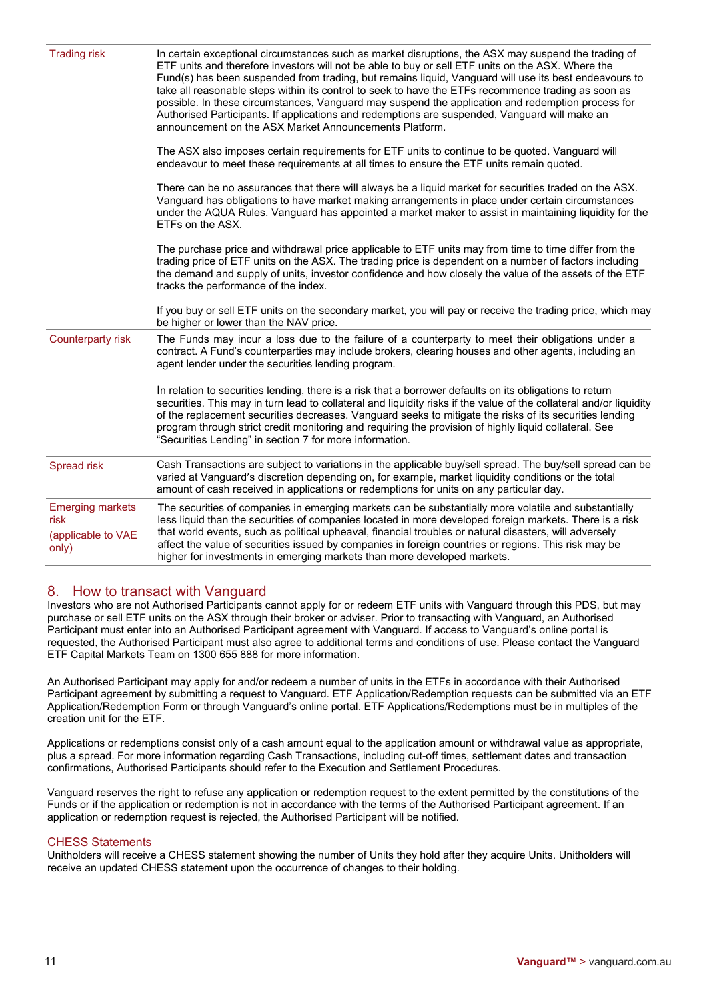| <b>Trading risk</b>                                            | In certain exceptional circumstances such as market disruptions, the ASX may suspend the trading of<br>ETF units and therefore investors will not be able to buy or sell ETF units on the ASX. Where the<br>Fund(s) has been suspended from trading, but remains liquid, Vanguard will use its best endeavours to<br>take all reasonable steps within its control to seek to have the ETFs recommence trading as soon as<br>possible. In these circumstances, Vanguard may suspend the application and redemption process for<br>Authorised Participants. If applications and redemptions are suspended, Vanguard will make an<br>announcement on the ASX Market Announcements Platform. |
|----------------------------------------------------------------|------------------------------------------------------------------------------------------------------------------------------------------------------------------------------------------------------------------------------------------------------------------------------------------------------------------------------------------------------------------------------------------------------------------------------------------------------------------------------------------------------------------------------------------------------------------------------------------------------------------------------------------------------------------------------------------|
|                                                                | The ASX also imposes certain requirements for ETF units to continue to be quoted. Vanguard will<br>endeavour to meet these requirements at all times to ensure the ETF units remain quoted.                                                                                                                                                                                                                                                                                                                                                                                                                                                                                              |
|                                                                | There can be no assurances that there will always be a liquid market for securities traded on the ASX.<br>Vanguard has obligations to have market making arrangements in place under certain circumstances<br>under the AQUA Rules. Vanguard has appointed a market maker to assist in maintaining liquidity for the<br>ETFs on the ASX.                                                                                                                                                                                                                                                                                                                                                 |
|                                                                | The purchase price and withdrawal price applicable to ETF units may from time to time differ from the<br>trading price of ETF units on the ASX. The trading price is dependent on a number of factors including<br>the demand and supply of units, investor confidence and how closely the value of the assets of the ETF<br>tracks the performance of the index.                                                                                                                                                                                                                                                                                                                        |
|                                                                | If you buy or sell ETF units on the secondary market, you will pay or receive the trading price, which may<br>be higher or lower than the NAV price.                                                                                                                                                                                                                                                                                                                                                                                                                                                                                                                                     |
| Counterparty risk                                              | The Funds may incur a loss due to the failure of a counterparty to meet their obligations under a<br>contract. A Fund's counterparties may include brokers, clearing houses and other agents, including an<br>agent lender under the securities lending program.                                                                                                                                                                                                                                                                                                                                                                                                                         |
|                                                                | In relation to securities lending, there is a risk that a borrower defaults on its obligations to return<br>securities. This may in turn lead to collateral and liquidity risks if the value of the collateral and/or liquidity<br>of the replacement securities decreases. Vanguard seeks to mitigate the risks of its securities lending<br>program through strict credit monitoring and requiring the provision of highly liquid collateral. See<br>"Securities Lending" in section 7 for more information.                                                                                                                                                                           |
| <b>Spread risk</b>                                             | Cash Transactions are subject to variations in the applicable buy/sell spread. The buy/sell spread can be<br>varied at Vanguard's discretion depending on, for example, market liquidity conditions or the total<br>amount of cash received in applications or redemptions for units on any particular day.                                                                                                                                                                                                                                                                                                                                                                              |
| <b>Emerging markets</b><br>risk<br>(applicable to VAE<br>only) | The securities of companies in emerging markets can be substantially more volatile and substantially<br>less liquid than the securities of companies located in more developed foreign markets. There is a risk<br>that world events, such as political upheaval, financial troubles or natural disasters, will adversely<br>affect the value of securities issued by companies in foreign countries or regions. This risk may be<br>higher for investments in emerging markets than more developed markets.                                                                                                                                                                             |
|                                                                |                                                                                                                                                                                                                                                                                                                                                                                                                                                                                                                                                                                                                                                                                          |

# 8. How to transact with Vanguard

Investors who are not Authorised Participants cannot apply for or redeem ETF units with Vanguard through this PDS, but may purchase or sell ETF units on the ASX through their broker or adviser. Prior to transacting with Vanguard, an Authorised Participant must enter into an Authorised Participant agreement with Vanguard. If access to Vanguard's online portal is requested, the Authorised Participant must also agree to additional terms and conditions of use. Please contact the Vanguard ETF Capital Markets Team on 1300 655 888 for more information.

An Authorised Participant may apply for and/or redeem a number of units in the ETFs in accordance with their Authorised Participant agreement by submitting a request to Vanguard. ETF Application/Redemption requests can be submitted via an ETF Application/Redemption Form or through Vanguard's online portal. ETF Applications/Redemptions must be in multiples of the creation unit for the ETF.

Applications or redemptions consist only of a cash amount equal to the application amount or withdrawal value as appropriate, plus a spread. For more information regarding Cash Transactions, including cut-off times, settlement dates and transaction confirmations, Authorised Participants should refer to the Execution and Settlement Procedures.

Vanguard reserves the right to refuse any application or redemption request to the extent permitted by the constitutions of the Funds or if the application or redemption is not in accordance with the terms of the Authorised Participant agreement. If an application or redemption request is rejected, the Authorised Participant will be notified.

# CHESS Statements

Unitholders will receive a CHESS statement showing the number of Units they hold after they acquire Units. Unitholders will receive an updated CHESS statement upon the occurrence of changes to their holding.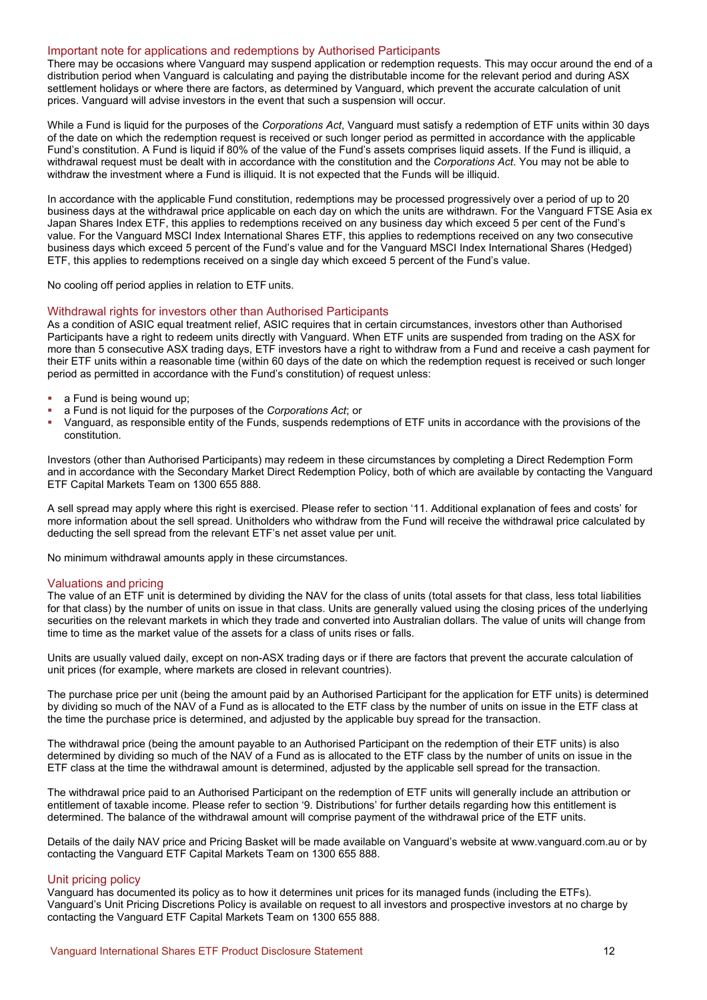### Important note for applications and redemptions by Authorised Participants

There may be occasions where Vanguard may suspend application or redemption requests. This may occur around the end of a distribution period when Vanguard is calculating and paying the distributable income for the relevant period and during ASX settlement holidays or where there are factors, as determined by Vanguard, which prevent the accurate calculation of unit prices. Vanguard will advise investors in the event that such a suspension will occur.

While a Fund is liquid for the purposes of the *Corporations Act*, Vanguard must satisfy a redemption of ETF units within 30 days of the date on which the redemption request is received or such longer period as permitted in accordance with the applicable Fund's constitution. A Fund is liquid if 80% of the value of the Fund's assets comprises liquid assets. If the Fund is illiquid, a withdrawal request must be dealt with in accordance with the constitution and the *Corporations Act*. You may not be able to withdraw the investment where a Fund is illiquid. It is not expected that the Funds will be illiquid.

In accordance with the applicable Fund constitution, redemptions may be processed progressively over a period of up to 20 business days at the withdrawal price applicable on each day on which the units are withdrawn. For the Vanguard FTSE Asia ex Japan Shares Index ETF, this applies to redemptions received on any business day which exceed 5 per cent of the Fund's value. For the Vanguard MSCI Index International Shares ETF, this applies to redemptions received on any two consecutive business days which exceed 5 percent of the Fund's value and for the Vanguard MSCI Index International Shares (Hedged) ETF, this applies to redemptions received on a single day which exceed 5 percent of the Fund's value.

No cooling off period applies in relation to ETF units.

### Withdrawal rights for investors other than Authorised Participants

As a condition of ASIC equal treatment relief, ASIC requires that in certain circumstances, investors other than Authorised Participants have a right to redeem units directly with Vanguard. When ETF units are suspended from trading on the ASX for more than 5 consecutive ASX trading days, ETF investors have a right to withdraw from a Fund and receive a cash payment for their ETF units within a reasonable time (within 60 days of the date on which the redemption request is received or such longer period as permitted in accordance with the Fund's constitution) of request unless:

- a Fund is being wound up;
- a Fund is not liquid for the purposes of the *Corporations Act*; or
- Vanguard, as responsible entity of the Funds, suspends redemptions of ETF units in accordance with the provisions of the constitution.

Investors (other than Authorised Participants) may redeem in these circumstances by completing a Direct Redemption Form and in accordance with the Secondary Market Direct Redemption Policy, both of which are available by contacting the Vanguard ETF Capital Markets Team on 1300 655 888.

A sell spread may apply where this right is exercised. Please refer to section '11. Additional explanation of fees and costs' for more information about the sell spread. Unitholders who withdraw from the Fund will receive the withdrawal price calculated by deducting the sell spread from the relevant ETF's net asset value per unit.

No minimum withdrawal amounts apply in these circumstances.

#### Valuations and pricing

The value of an ETF unit is determined by dividing the NAV for the class of units (total assets for that class, less total liabilities for that class) by the number of units on issue in that class. Units are generally valued using the closing prices of the underlying securities on the relevant markets in which they trade and converted into Australian dollars. The value of units will change from time to time as the market value of the assets for a class of units rises or falls.

Units are usually valued daily, except on non-ASX trading days or if there are factors that prevent the accurate calculation of unit prices (for example, where markets are closed in relevant countries).

The purchase price per unit (being the amount paid by an Authorised Participant for the application for ETF units) is determined by dividing so much of the NAV of a Fund as is allocated to the ETF class by the number of units on issue in the ETF class at the time the purchase price is determined, and adjusted by the applicable buy spread for the transaction.

The withdrawal price (being the amount payable to an Authorised Participant on the redemption of their ETF units) is also determined by dividing so much of the NAV of a Fund as is allocated to the ETF class by the number of units on issue in the ETF class at the time the withdrawal amount is determined, adjusted by the applicable sell spread for the transaction.

The withdrawal price paid to an Authorised Participant on the redemption of ETF units will generally include an attribution or entitlement of taxable income. Please refer to section '9. Distributions' for further details regarding how this entitlement is determined. The balance of the withdrawal amount will comprise payment of the withdrawal price of the ETF units.

Details of the daily NAV price and Pricing Basket will be made available on Vanguard's website at www.vanguard.com.au or by contacting the Vanguard ETF Capital Markets Team on 1300 655 888.

### Unit pricing policy

Vanguard has documented its policy as to how it determines unit prices for its managed funds (including the ETFs). Vanguard's Unit Pricing Discretions Policy is available on request to all investors and prospective investors at no charge by contacting the Vanguard ETF Capital Markets Team on 1300 655 888.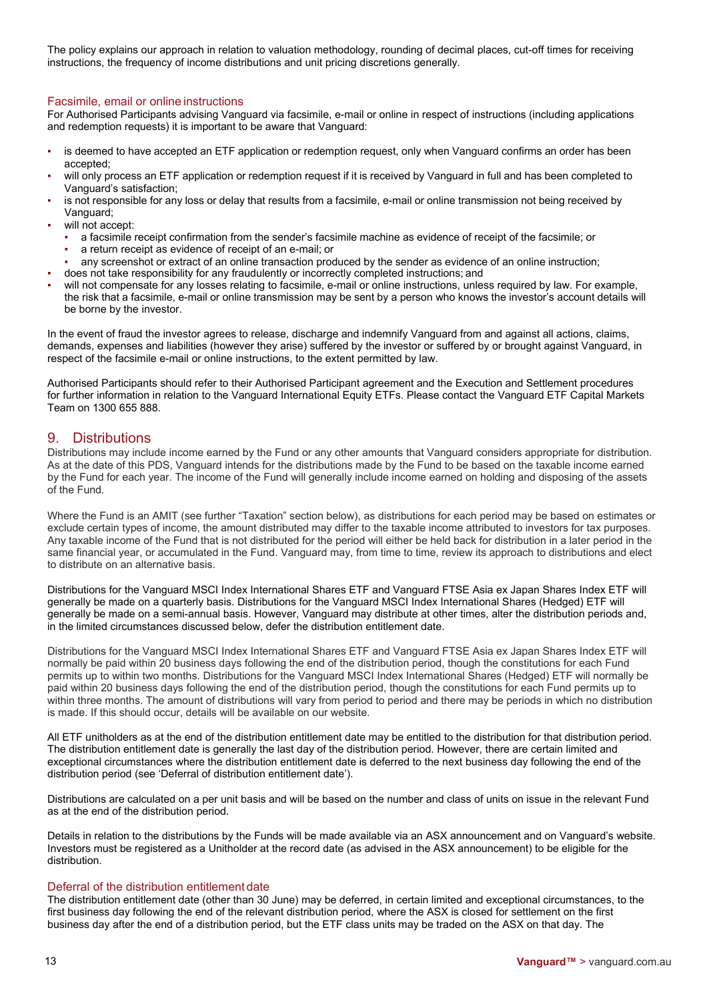The policy explains our approach in relation to valuation methodology, rounding of decimal places, cut-off times for receiving instructions, the frequency of income distributions and unit pricing discretions generally.

### Facsimile, email or online instructions

For Authorised Participants advising Vanguard via facsimile, e-mail or online in respect of instructions (including applications and redemption requests) it is important to be aware that Vanguard:

- is deemed to have accepted an ETF application or redemption request, only when Vanguard confirms an order has been accepted;
- will only process an ETF application or redemption request if it is received by Vanguard in full and has been completed to Vanguard's satisfaction;
- is not responsible for any loss or delay that results from a facsimile, e-mail or online transmission not being received by Vanguard;
- will not accept:
	- a facsimile receipt confirmation from the sender's facsimile machine as evidence of receipt of the facsimile; or
	- a return receipt as evidence of receipt of an e-mail; or
- any screenshot or extract of an online transaction produced by the sender as evidence of an online instruction;
- does not take responsibility for any fraudulently or incorrectly completed instructions; and
- will not compensate for any losses relating to facsimile, e-mail or online instructions, unless required by law. For example, the risk that a facsimile, e-mail or online transmission may be sent by a person who knows the investor's account details will be borne by the investor.

In the event of fraud the investor agrees to release, discharge and indemnify Vanguard from and against all actions, claims, demands, expenses and liabilities (however they arise) suffered by the investor or suffered by or brought against Vanguard, in respect of the facsimile e-mail or online instructions, to the extent permitted by law.

Authorised Participants should refer to their Authorised Participant agreement and the Execution and Settlement procedures for further information in relation to the Vanguard International Equity ETFs. Please contact the Vanguard ETF Capital Markets Team on 1300 655 888.

# 9. Distributions

Distributions may include income earned by the Fund or any other amounts that Vanguard considers appropriate for distribution. As at the date of this PDS, Vanguard intends for the distributions made by the Fund to be based on the taxable income earned by the Fund for each year. The income of the Fund will generally include income earned on holding and disposing of the assets of the Fund.

Where the Fund is an AMIT (see further "Taxation" section below), as distributions for each period may be based on estimates or exclude certain types of income, the amount distributed may differ to the taxable income attributed to investors for tax purposes. Any taxable income of the Fund that is not distributed for the period will either be held back for distribution in a later period in the same financial year, or accumulated in the Fund. Vanguard may, from time to time, review its approach to distributions and elect to distribute on an alternative basis.

Distributions for the Vanguard MSCI Index International Shares ETF and Vanguard FTSE Asia ex Japan Shares Index ETF will generally be made on a quarterly basis. Distributions for the Vanguard MSCI Index International Shares (Hedged) ETF will generally be made on a semi-annual basis. However, Vanguard may distribute at other times, alter the distribution periods and, in the limited circumstances discussed below, defer the distribution entitlement date.

Distributions for the Vanguard MSCI Index International Shares ETF and Vanguard FTSE Asia ex Japan Shares Index ETF will normally be paid within 20 business days following the end of the distribution period, though the constitutions for each Fund permits up to within two months. Distributions for the Vanguard MSCI Index International Shares (Hedged) ETF will normally be paid within 20 business days following the end of the distribution period, though the constitutions for each Fund permits up to within three months. The amount of distributions will vary from period to period and there may be periods in which no distribution is made. If this should occur, details will be available on our website.

All ETF unitholders as at the end of the distribution entitlement date may be entitled to the distribution for that distribution period. The distribution entitlement date is generally the last day of the distribution period. However, there are certain limited and exceptional circumstances where the distribution entitlement date is deferred to the next business day following the end of the distribution period (see 'Deferral of distribution entitlement date').

Distributions are calculated on a per unit basis and will be based on the number and class of units on issue in the relevant Fund as at the end of the distribution period.

Details in relation to the distributions by the Funds will be made available via an ASX announcement and on Vanguard's website. Investors must be registered as a Unitholder at the record date (as advised in the ASX announcement) to be eligible for the distribution.

### Deferral of the distribution entitlement date

The distribution entitlement date (other than 30 June) may be deferred, in certain limited and exceptional circumstances, to the first business day following the end of the relevant distribution period, where the ASX is closed for settlement on the first business day after the end of a distribution period, but the ETF class units may be traded on the ASX on that day. The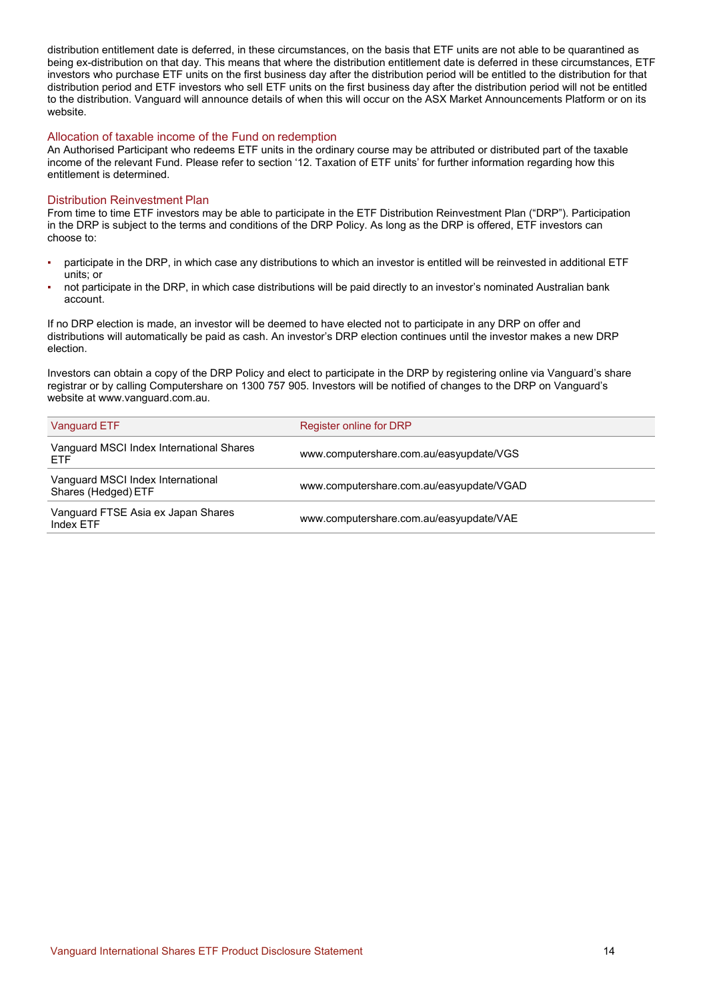distribution entitlement date is deferred, in these circumstances, on the basis that ETF units are not able to be quarantined as being ex-distribution on that day. This means that where the distribution entitlement date is deferred in these circumstances, ETF investors who purchase ETF units on the first business day after the distribution period will be entitled to the distribution for that distribution period and ETF investors who sell ETF units on the first business day after the distribution period will not be entitled to the distribution. Vanguard will announce details of when this will occur on the ASX Market Announcements Platform or on its website.

# Allocation of taxable income of the Fund on redemption

An Authorised Participant who redeems ETF units in the ordinary course may be attributed or distributed part of the taxable income of the relevant Fund. Please refer to section '12. Taxation of ETF units' for further information regarding how this entitlement is determined.

### Distribution Reinvestment Plan

From time to time ETF investors may be able to participate in the ETF Distribution Reinvestment Plan ("DRP"). Participation in the DRP is subject to the terms and conditions of the DRP Policy. As long as the DRP is offered, ETF investors can choose to:

- participate in the DRP, in which case any distributions to which an investor is entitled will be reinvested in additional ETF units; or
- not participate in the DRP, in which case distributions will be paid directly to an investor's nominated Australian bank account.

If no DRP election is made, an investor will be deemed to have elected not to participate in any DRP on offer and distributions will automatically be paid as cash. An investor's DRP election continues until the investor makes a new DRP election.

Investors can obtain a copy of the DRP Policy and elect to participate in the DRP by registering online via Vanguard's share registrar or by calling Computershare on 1300 757 905. Investors will be notified of changes to the DRP on Vanguard's website at www.vanguard.com.au.

| Vanguard ETF                                             | Register online for DRP                  |
|----------------------------------------------------------|------------------------------------------|
| Vanguard MSCI Index International Shares<br><b>ETF</b>   | www.computershare.com.au/easyupdate/VGS  |
| Vanguard MSCI Index International<br>Shares (Hedged) ETF | www.computershare.com.au/easyupdate/VGAD |
| Vanguard FTSE Asia ex Japan Shares<br>Index ETF          | www.computershare.com.au/easyupdate/VAE  |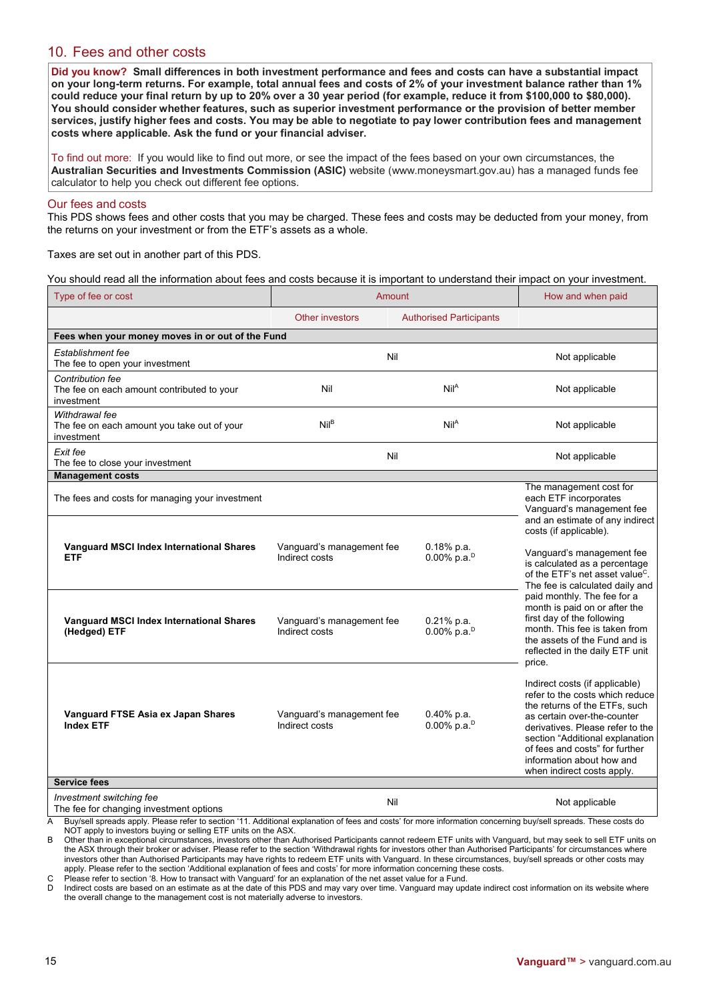# 10. Fees and other costs

**Did you know? Small differences in both investment performance and fees and costs can have a substantial impact**  on your long-term returns. For example, total annual fees and costs of 2% of your investment balance rather than 1% **could reduce your final return by up to 20% over a 30 year period (for example, reduce it from \$100,000 to \$80,000). You should consider whether features, such as superior investment performance or the provision of better member services, justify higher fees and costs. You may be able to negotiate to pay lower contribution fees and management costs where applicable. Ask the fund or your financial adviser.**

To find out more: If you would like to find out more, or see the impact of the fees based on your own circumstances, the **Australian Securities and Investments Commission (ASIC)** website (www.moneysmart.gov.au) has a managed funds fee calculator to help you check out different fee options.

### Our fees and costs

This PDS shows fees and other costs that you may be charged. These fees and costs may be deducted from your money, from the returns on your investment or from the ETF's assets as a whole.

Taxes are set out in another part of this PDS.

You should read all the information about fees and costs because it is important to understand their impact on your investment.

| Type of fee or cost                                                                 | Amount                                      |                                                                               | How and when paid                                                                                                                                                                                                                                                                                                                                                                                                      |  |
|-------------------------------------------------------------------------------------|---------------------------------------------|-------------------------------------------------------------------------------|------------------------------------------------------------------------------------------------------------------------------------------------------------------------------------------------------------------------------------------------------------------------------------------------------------------------------------------------------------------------------------------------------------------------|--|
|                                                                                     | <b>Other investors</b>                      | <b>Authorised Participants</b>                                                |                                                                                                                                                                                                                                                                                                                                                                                                                        |  |
| Fees when your money moves in or out of the Fund                                    |                                             |                                                                               |                                                                                                                                                                                                                                                                                                                                                                                                                        |  |
| Establishment fee<br>The fee to open your investment                                |                                             | Nil                                                                           | Not applicable                                                                                                                                                                                                                                                                                                                                                                                                         |  |
| <b>Contribution fee</b><br>The fee on each amount contributed to your<br>investment | Nil                                         | Nil <sup>A</sup>                                                              | Not applicable                                                                                                                                                                                                                                                                                                                                                                                                         |  |
| Withdrawal fee<br>The fee on each amount you take out of your<br>investment         | Nil <sup>B</sup>                            | Nil <sup>A</sup>                                                              | Not applicable                                                                                                                                                                                                                                                                                                                                                                                                         |  |
| Exit fee<br>The fee to close your investment                                        |                                             | Nil                                                                           | Not applicable                                                                                                                                                                                                                                                                                                                                                                                                         |  |
| <b>Management costs</b>                                                             |                                             |                                                                               |                                                                                                                                                                                                                                                                                                                                                                                                                        |  |
| The fees and costs for managing your investment                                     |                                             | The management cost for<br>each ETF incorporates<br>Vanguard's management fee |                                                                                                                                                                                                                                                                                                                                                                                                                        |  |
| Vanguard MSCI Index International Shares<br><b>ETF</b>                              | Vanguard's management fee<br>Indirect costs | $0.18%$ p.a.<br>$0.00\%$ p.a. <sup>D</sup>                                    | and an estimate of any indirect<br>costs (if applicable).<br>Vanguard's management fee<br>is calculated as a percentage<br>of the ETF's net asset value <sup>C</sup> .<br>The fee is calculated daily and<br>paid monthly. The fee for a<br>month is paid on or after the<br>first day of the following<br>month. This fee is taken from<br>the assets of the Fund and is<br>reflected in the daily ETF unit<br>price. |  |
| <b>Vanguard MSCI Index International Shares</b><br>(Hedged) ETF                     | Vanguard's management fee<br>Indirect costs | $0.21%$ p.a.<br>$0.00\%$ p.a. <sup>D</sup>                                    |                                                                                                                                                                                                                                                                                                                                                                                                                        |  |
| Vanguard FTSE Asia ex Japan Shares<br><b>Index ETF</b>                              | Vanguard's management fee<br>Indirect costs | $0.40\%$ p.a.<br>$0.00\%$ p.a. <sup>D</sup>                                   | Indirect costs (if applicable)<br>refer to the costs which reduce<br>the returns of the ETFs, such<br>as certain over-the-counter<br>derivatives. Please refer to the<br>section "Additional explanation<br>of fees and costs" for further<br>information about how and<br>when indirect costs apply.                                                                                                                  |  |
| <b>Service fees</b>                                                                 |                                             |                                                                               |                                                                                                                                                                                                                                                                                                                                                                                                                        |  |
| Investment switching fee<br>The fee for changing investment options                 |                                             | Nil                                                                           | Not applicable                                                                                                                                                                                                                                                                                                                                                                                                         |  |

A Buy/sell spreads apply. Please refer to section '11. Additional explanation of fees and costs' for more information concerning buy/sell spreads. These costs do NOT apply to investors buying or selling ETF units on the ASX.

B Other than in exceptional circumstances, investors other than Authorised Participants cannot redeem ETF units with Vanguard, but may seek to sell ETF units on the ASX through their broker or adviser. Please refer to the section 'Withdrawal rights for investors other than Authorised Participants' for circumstances where investors other than Authorised Participants may have rights to redeem ETF units with Vanguard. In these circumstances, buy/sell spreads or other costs may apply. Please refer to the section 'Additional explanation of fees and costs' for more information concerning these costs.

C Please refer to section '8. How to transact with Vanguard' for an explanation of the net asset value for a Fund.

D Indirect costs are based on an estimate as at the date of this PDS and may vary over time. Vanguard may update indirect cost information on its website where the overall change to the management cost is not materially adverse to investors.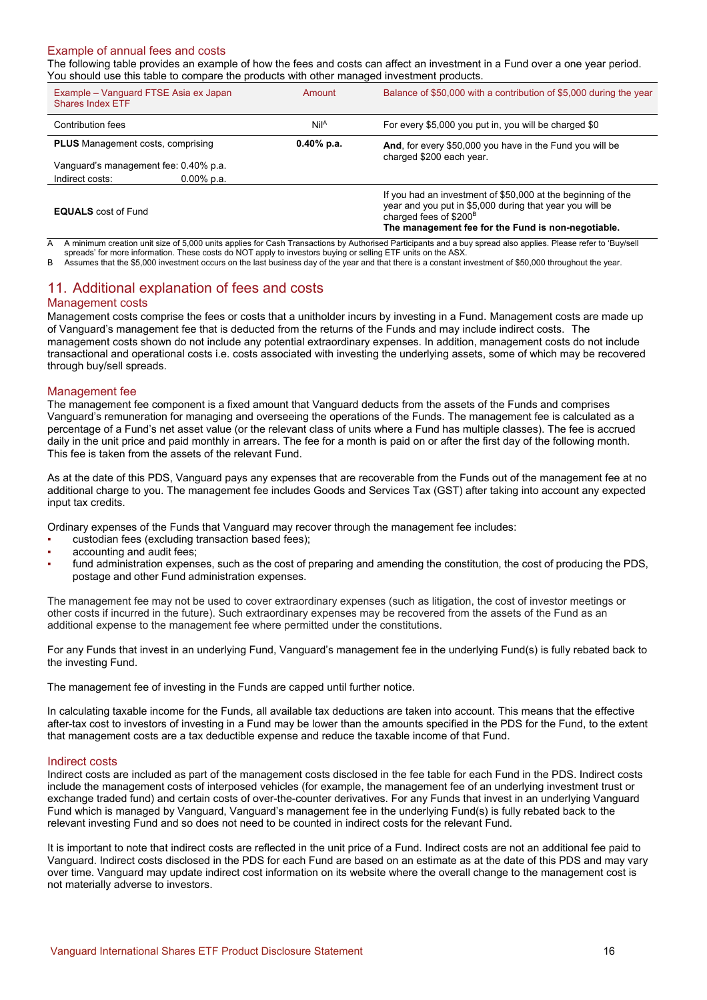# Example of annual fees and costs

The following table provides an example of how the fees and costs can affect an investment in a Fund over a one year period. You should use this table to compare the products with other managed investment products.

| Example – Vanguard FTSE Asia ex Japan<br>Shares Index ETF | Amount           | Balance of \$50,000 with a contribution of \$5,000 during the year                                                                                                                                                   |
|-----------------------------------------------------------|------------------|----------------------------------------------------------------------------------------------------------------------------------------------------------------------------------------------------------------------|
| Contribution fees                                         | Nil <sup>A</sup> | For every \$5,000 you put in, you will be charged \$0                                                                                                                                                                |
| <b>PLUS</b> Management costs, comprising                  | $0.40\%$ p.a.    | And, for every \$50,000 you have in the Fund you will be                                                                                                                                                             |
| Vanguard's management fee: 0.40% p.a.                     |                  | charged \$200 each year.                                                                                                                                                                                             |
| Indirect costs:<br>$0.00\%$ p.a.                          |                  |                                                                                                                                                                                                                      |
| <b>EQUALS</b> cost of Fund                                |                  | If you had an investment of \$50,000 at the beginning of the<br>year and you put in \$5,000 during that year you will be<br>charged fees of \$200 <sup>B</sup><br>The management fee for the Fund is non-negotiable. |

A A minimum creation unit size of 5,000 units applies for Cash Transactions by Authorised Participants and a buy spread also applies. Please refer to 'Buy/sell spreads' for more information. These costs do NOT apply to investors buying or selling ETF units on the ASX.

B Assumes that the \$5,000 investment occurs on the last business day of the year and that there is a constant investment of \$50,000 throughout the year.

# 11. Additional explanation of fees and costs

### Management costs

Management costs comprise the fees or costs that a unitholder incurs by investing in a Fund. Management costs are made up of Vanguard's management fee that is deducted from the returns of the Funds and may include indirect costs. The management costs shown do not include any potential extraordinary expenses. In addition, management costs do not include transactional and operational costs i.e. costs associated with investing the underlying assets, some of which may be recovered through buy/sell spreads.

### Management fee

The management fee component is a fixed amount that Vanguard deducts from the assets of the Funds and comprises Vanguard's remuneration for managing and overseeing the operations of the Funds. The management fee is calculated as a percentage of a Fund's net asset value (or the relevant class of units where a Fund has multiple classes). The fee is accrued daily in the unit price and paid monthly in arrears. The fee for a month is paid on or after the first day of the following month. This fee is taken from the assets of the relevant Fund.

As at the date of this PDS, Vanguard pays any expenses that are recoverable from the Funds out of the management fee at no additional charge to you. The management fee includes Goods and Services Tax (GST) after taking into account any expected input tax credits.

Ordinary expenses of the Funds that Vanguard may recover through the management fee includes:

- custodian fees (excluding transaction based fees);
- accounting and audit fees;
- fund administration expenses, such as the cost of preparing and amending the constitution, the cost of producing the PDS, postage and other Fund administration expenses.

The management fee may not be used to cover extraordinary expenses (such as litigation, the cost of investor meetings or other costs if incurred in the future). Such extraordinary expenses may be recovered from the assets of the Fund as an additional expense to the management fee where permitted under the constitutions.

For any Funds that invest in an underlying Fund, Vanguard's management fee in the underlying Fund(s) is fully rebated back to the investing Fund.

The management fee of investing in the Funds are capped until further notice.

In calculating taxable income for the Funds, all available tax deductions are taken into account. This means that the effective after-tax cost to investors of investing in a Fund may be lower than the amounts specified in the PDS for the Fund, to the extent that management costs are a tax deductible expense and reduce the taxable income of that Fund.

### Indirect costs

Indirect costs are included as part of the management costs disclosed in the fee table for each Fund in the PDS. Indirect costs include the management costs of interposed vehicles (for example, the management fee of an underlying investment trust or exchange traded fund) and certain costs of over-the-counter derivatives. For any Funds that invest in an underlying Vanguard Fund which is managed by Vanguard, Vanguard's management fee in the underlying Fund(s) is fully rebated back to the relevant investing Fund and so does not need to be counted in indirect costs for the relevant Fund.

It is important to note that indirect costs are reflected in the unit price of a Fund. Indirect costs are not an additional fee paid to Vanguard. Indirect costs disclosed in the PDS for each Fund are based on an estimate as at the date of this PDS and may vary over time. Vanguard may update indirect cost information on its website where the overall change to the management cost is not materially adverse to investors.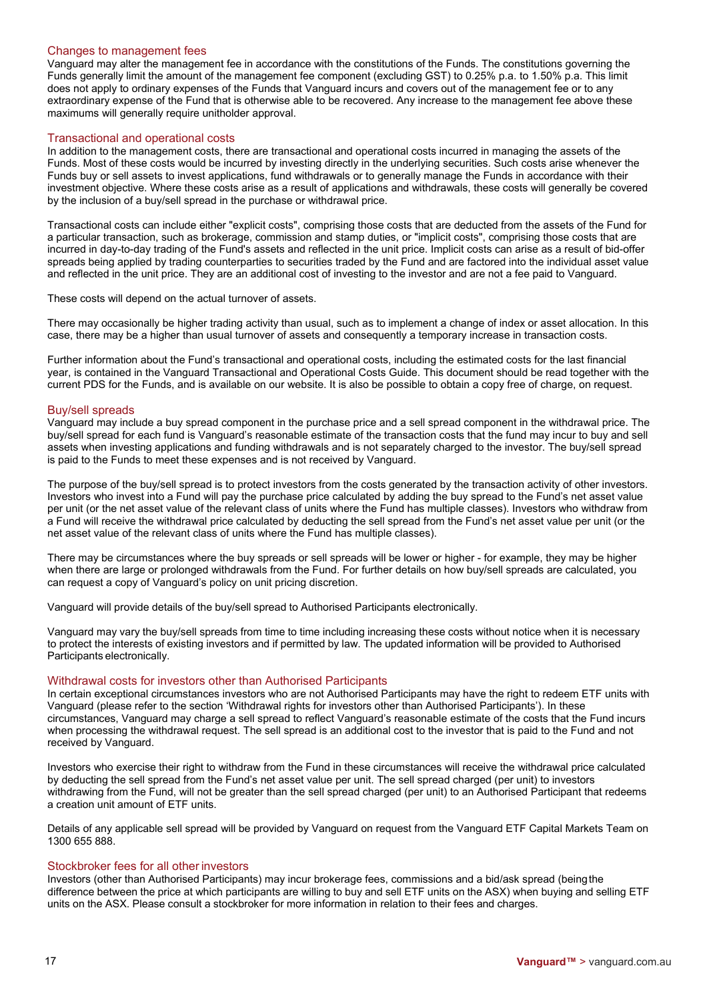### Changes to management fees

Vanguard may alter the management fee in accordance with the constitutions of the Funds. The constitutions governing the Funds generally limit the amount of the management fee component (excluding GST) to 0.25% p.a. to 1.50% p.a. This limit does not apply to ordinary expenses of the Funds that Vanguard incurs and covers out of the management fee or to any extraordinary expense of the Fund that is otherwise able to be recovered. Any increase to the management fee above these maximums will generally require unitholder approval.

### Transactional and operational costs

In addition to the management costs, there are transactional and operational costs incurred in managing the assets of the Funds. Most of these costs would be incurred by investing directly in the underlying securities. Such costs arise whenever the Funds buy or sell assets to invest applications, fund withdrawals or to generally manage the Funds in accordance with their investment objective. Where these costs arise as a result of applications and withdrawals, these costs will generally be covered by the inclusion of a buy/sell spread in the purchase or withdrawal price.

Transactional costs can include either "explicit costs", comprising those costs that are deducted from the assets of the Fund for a particular transaction, such as brokerage, commission and stamp duties, or "implicit costs", comprising those costs that are incurred in day-to-day trading of the Fund's assets and reflected in the unit price. Implicit costs can arise as a result of bid-offer spreads being applied by trading counterparties to securities traded by the Fund and are factored into the individual asset value and reflected in the unit price. They are an additional cost of investing to the investor and are not a fee paid to Vanguard.

These costs will depend on the actual turnover of assets.

There may occasionally be higher trading activity than usual, such as to implement a change of index or asset allocation. In this case, there may be a higher than usual turnover of assets and consequently a temporary increase in transaction costs.

Further information about the Fund's transactional and operational costs, including the estimated costs for the last financial year, is contained in the Vanguard Transactional and Operational Costs Guide. This document should be read together with the current PDS for the Funds, and is available on our website. It is also be possible to obtain a copy free of charge, on request.

### Buy/sell spreads

Vanguard may include a buy spread component in the purchase price and a sell spread component in the withdrawal price. The buy/sell spread for each fund is Vanguard's reasonable estimate of the transaction costs that the fund may incur to buy and sell assets when investing applications and funding withdrawals and is not separately charged to the investor. The buy/sell spread is paid to the Funds to meet these expenses and is not received by Vanguard.

The purpose of the buy/sell spread is to protect investors from the costs generated by the transaction activity of other investors. Investors who invest into a Fund will pay the purchase price calculated by adding the buy spread to the Fund's net asset value per unit (or the net asset value of the relevant class of units where the Fund has multiple classes). Investors who withdraw from a Fund will receive the withdrawal price calculated by deducting the sell spread from the Fund's net asset value per unit (or the net asset value of the relevant class of units where the Fund has multiple classes).

There may be circumstances where the buy spreads or sell spreads will be lower or higher - for example, they may be higher when there are large or prolonged withdrawals from the Fund. For further details on how buy/sell spreads are calculated, you can request a copy of Vanguard's policy on unit pricing discretion.

Vanguard will provide details of the buy/sell spread to Authorised Participants electronically.

Vanguard may vary the buy/sell spreads from time to time including increasing these costs without notice when it is necessary to protect the interests of existing investors and if permitted by law. The updated information will be provided to Authorised Participants electronically.

### Withdrawal costs for investors other than Authorised Participants

In certain exceptional circumstances investors who are not Authorised Participants may have the right to redeem ETF units with Vanguard (please refer to the section 'Withdrawal rights for investors other than Authorised Participants'). In these circumstances, Vanguard may charge a sell spread to reflect Vanguard's reasonable estimate of the costs that the Fund incurs when processing the withdrawal request. The sell spread is an additional cost to the investor that is paid to the Fund and not received by Vanguard.

Investors who exercise their right to withdraw from the Fund in these circumstances will receive the withdrawal price calculated by deducting the sell spread from the Fund's net asset value per unit. The sell spread charged (per unit) to investors withdrawing from the Fund, will not be greater than the sell spread charged (per unit) to an Authorised Participant that redeems a creation unit amount of ETF units.

Details of any applicable sell spread will be provided by Vanguard on request from the Vanguard ETF Capital Markets Team on 1300 655 888.

### Stockbroker fees for all otherinvestors

Investors (other than Authorised Participants) may incur brokerage fees, commissions and a bid/ask spread (beingthe difference between the price at which participants are willing to buy and sell ETF units on the ASX) when buying and selling ETF units on the ASX. Please consult a stockbroker for more information in relation to their fees and charges.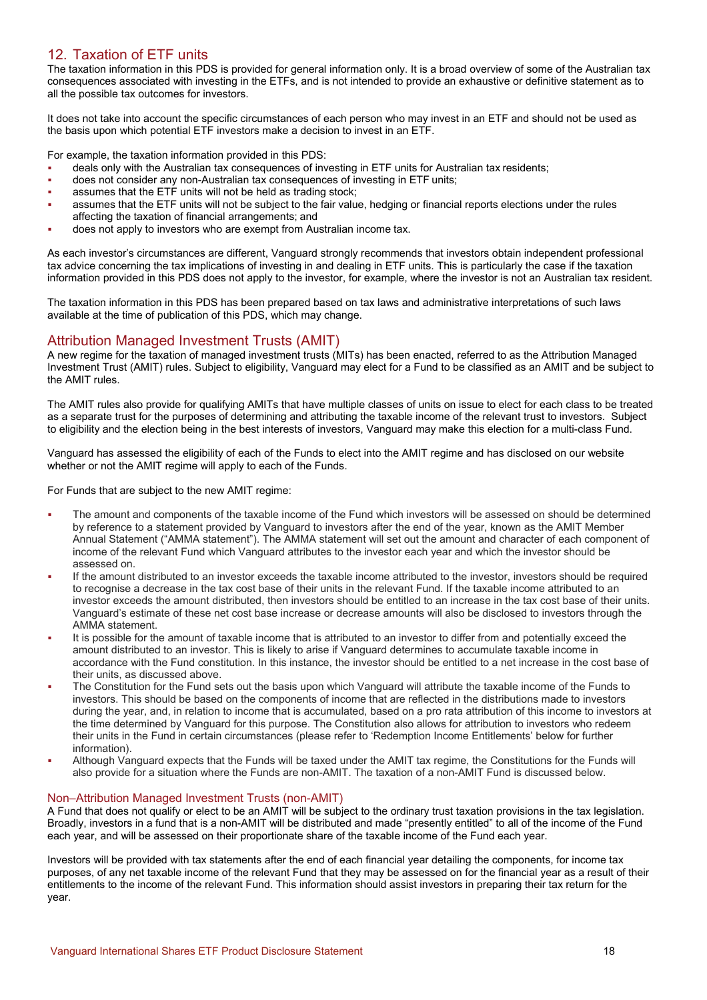# 12. Taxation of ETF units

The taxation information in this PDS is provided for general information only. It is a broad overview of some of the Australian tax consequences associated with investing in the ETFs, and is not intended to provide an exhaustive or definitive statement as to all the possible tax outcomes for investors.

It does not take into account the specific circumstances of each person who may invest in an ETF and should not be used as the basis upon which potential ETF investors make a decision to invest in an ETF.

For example, the taxation information provided in this PDS:

- deals only with the Australian tax consequences of investing in ETF units for Australian tax residents;
- does not consider any non-Australian tax consequences of investing in ETF units;
- assumes that the ETF units will not be held as trading stock;
- assumes that the ETF units will not be subject to the fair value, hedging or financial reports elections under the rules affecting the taxation of financial arrangements; and
- does not apply to investors who are exempt from Australian income tax.

As each investor's circumstances are different, Vanguard strongly recommends that investors obtain independent professional tax advice concerning the tax implications of investing in and dealing in ETF units. This is particularly the case if the taxation information provided in this PDS does not apply to the investor, for example, where the investor is not an Australian tax resident.

The taxation information in this PDS has been prepared based on tax laws and administrative interpretations of such laws available at the time of publication of this PDS, which may change.

# Attribution Managed Investment Trusts (AMIT)

A new regime for the taxation of managed investment trusts (MITs) has been enacted, referred to as the Attribution Managed Investment Trust (AMIT) rules. Subject to eligibility, Vanguard may elect for a Fund to be classified as an AMIT and be subject to the AMIT rules.

The AMIT rules also provide for qualifying AMITs that have multiple classes of units on issue to elect for each class to be treated as a separate trust for the purposes of determining and attributing the taxable income of the relevant trust to investors. Subject to eligibility and the election being in the best interests of investors, Vanguard may make this election for a multi-class Fund.

Vanguard has assessed the eligibility of each of the Funds to elect into the AMIT regime and has disclosed on our website whether or not the AMIT regime will apply to each of the Funds.

For Funds that are subject to the new AMIT regime:

- The amount and components of the taxable income of the Fund which investors will be assessed on should be determined by reference to a statement provided by Vanguard to investors after the end of the year, known as the AMIT Member Annual Statement ("AMMA statement"). The AMMA statement will set out the amount and character of each component of income of the relevant Fund which Vanguard attributes to the investor each year and which the investor should be assessed on.
- If the amount distributed to an investor exceeds the taxable income attributed to the investor, investors should be required to recognise a decrease in the tax cost base of their units in the relevant Fund. If the taxable income attributed to an investor exceeds the amount distributed, then investors should be entitled to an increase in the tax cost base of their units. Vanguard's estimate of these net cost base increase or decrease amounts will also be disclosed to investors through the AMMA statement.
- It is possible for the amount of taxable income that is attributed to an investor to differ from and potentially exceed the amount distributed to an investor. This is likely to arise if Vanguard determines to accumulate taxable income in accordance with the Fund constitution. In this instance, the investor should be entitled to a net increase in the cost base of their units, as discussed above.
- The Constitution for the Fund sets out the basis upon which Vanguard will attribute the taxable income of the Funds to investors. This should be based on the components of income that are reflected in the distributions made to investors during the year, and, in relation to income that is accumulated, based on a pro rata attribution of this income to investors at the time determined by Vanguard for this purpose. The Constitution also allows for attribution to investors who redeem their units in the Fund in certain circumstances (please refer to 'Redemption Income Entitlements' below for further information).
- Although Vanguard expects that the Funds will be taxed under the AMIT tax regime, the Constitutions for the Funds will also provide for a situation where the Funds are non-AMIT. The taxation of a non-AMIT Fund is discussed below.

### Non–Attribution Managed Investment Trusts (non-AMIT)

A Fund that does not qualify or elect to be an AMIT will be subject to the ordinary trust taxation provisions in the tax legislation. Broadly, investors in a fund that is a non-AMIT will be distributed and made "presently entitled" to all of the income of the Fund each year, and will be assessed on their proportionate share of the taxable income of the Fund each year.

Investors will be provided with tax statements after the end of each financial year detailing the components, for income tax purposes, of any net taxable income of the relevant Fund that they may be assessed on for the financial year as a result of their entitlements to the income of the relevant Fund. This information should assist investors in preparing their tax return for the year.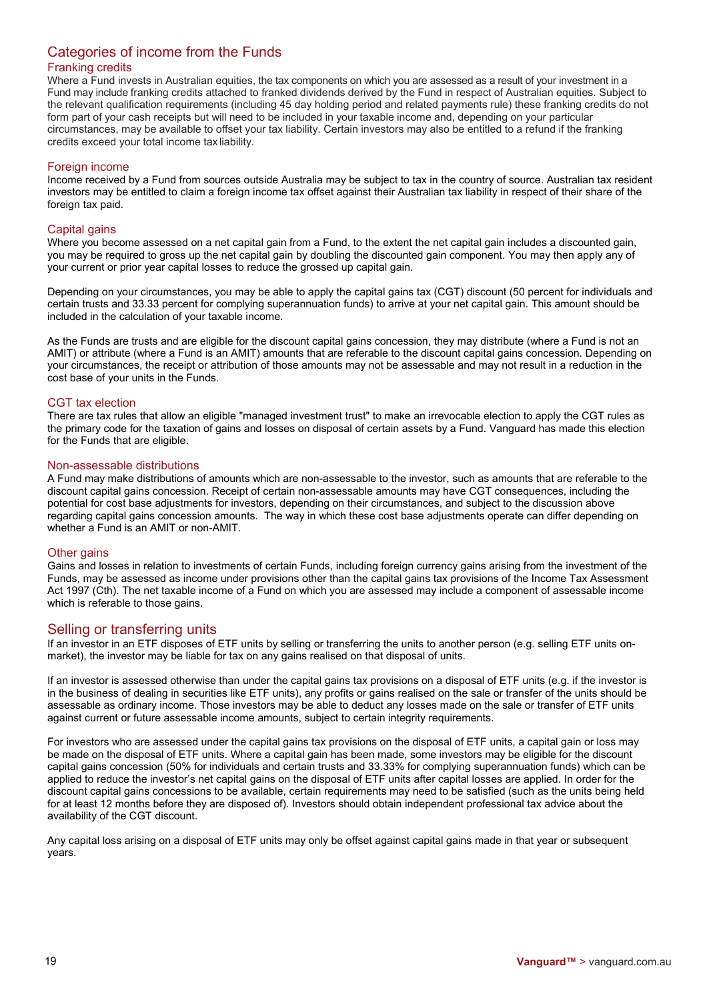# Categories of income from the Funds

# Franking credits

Where a Fund invests in Australian equities, the tax components on which you are assessed as a result of your investment in a Fund may include franking credits attached to franked dividends derived by the Fund in respect of Australian equities. Subject to the relevant qualification requirements (including 45 day holding period and related payments rule) these franking credits do not form part of your cash receipts but will need to be included in your taxable income and, depending on your particular circumstances, may be available to offset your tax liability. Certain investors may also be entitled to a refund if the franking credits exceed your total income tax liability.

### Foreign income

Income received by a Fund from sources outside Australia may be subject to tax in the country of source. Australian tax resident investors may be entitled to claim a foreign income tax offset against their Australian tax liability in respect of their share of the foreign tax paid.

# Capital gains

Where you become assessed on a net capital gain from a Fund, to the extent the net capital gain includes a discounted gain, you may be required to gross up the net capital gain by doubling the discounted gain component. You may then apply any of your current or prior year capital losses to reduce the grossed up capital gain.

Depending on your circumstances, you may be able to apply the capital gains tax (CGT) discount (50 percent for individuals and certain trusts and 33.33 percent for complying superannuation funds) to arrive at your net capital gain. This amount should be included in the calculation of your taxable income.

As the Funds are trusts and are eligible for the discount capital gains concession, they may distribute (where a Fund is not an AMIT) or attribute (where a Fund is an AMIT) amounts that are referable to the discount capital gains concession. Depending on your circumstances, the receipt or attribution of those amounts may not be assessable and may not result in a reduction in the cost base of your units in the Funds.

# CGT tax election

There are tax rules that allow an eligible "managed investment trust" to make an irrevocable election to apply the CGT rules as the primary code for the taxation of gains and losses on disposal of certain assets by a Fund. Vanguard has made this election for the Funds that are eligible.

# Non-assessable distributions

A Fund may make distributions of amounts which are non-assessable to the investor, such as amounts that are referable to the discount capital gains concession. Receipt of certain non-assessable amounts may have CGT consequences, including the potential for cost base adjustments for investors, depending on their circumstances, and subject to the discussion above regarding capital gains concession amounts. The way in which these cost base adjustments operate can differ depending on whether a Fund is an AMIT or non-AMIT.

# Other gains

Gains and losses in relation to investments of certain Funds, including foreign currency gains arising from the investment of the Funds, may be assessed as income under provisions other than the capital gains tax provisions of the Income Tax Assessment Act 1997 (Cth). The net taxable income of a Fund on which you are assessed may include a component of assessable income which is referable to those gains.

# Selling or transferring units

If an investor in an ETF disposes of ETF units by selling or transferring the units to another person (e.g. selling ETF units onmarket), the investor may be liable for tax on any gains realised on that disposal of units.

If an investor is assessed otherwise than under the capital gains tax provisions on a disposal of ETF units (e.g. if the investor is in the business of dealing in securities like ETF units), any profits or gains realised on the sale or transfer of the units should be assessable as ordinary income. Those investors may be able to deduct any losses made on the sale or transfer of ETF units against current or future assessable income amounts, subject to certain integrity requirements.

For investors who are assessed under the capital gains tax provisions on the disposal of ETF units, a capital gain or loss may be made on the disposal of ETF units. Where a capital gain has been made, some investors may be eligible for the discount capital gains concession (50% for individuals and certain trusts and 33.33% for complying superannuation funds) which can be applied to reduce the investor's net capital gains on the disposal of ETF units after capital losses are applied. In order for the discount capital gains concessions to be available, certain requirements may need to be satisfied (such as the units being held for at least 12 months before they are disposed of). Investors should obtain independent professional tax advice about the availability of the CGT discount.

Any capital loss arising on a disposal of ETF units may only be offset against capital gains made in that year or subsequent years.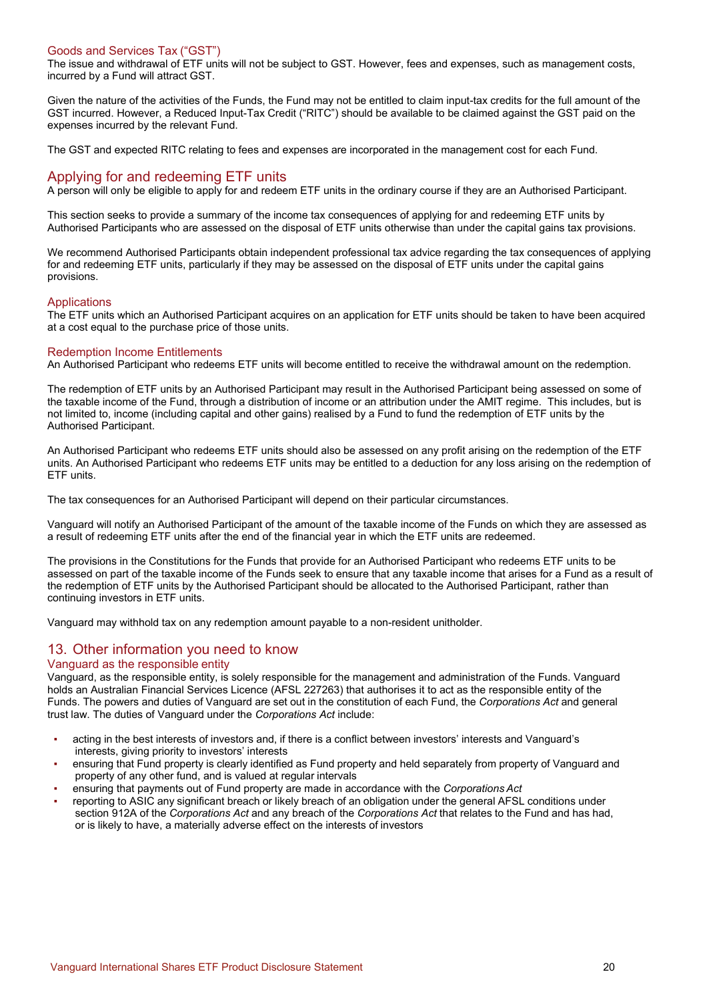# Goods and Services Tax ("GST")

The issue and withdrawal of ETF units will not be subject to GST. However, fees and expenses, such as management costs, incurred by a Fund will attract GST.

Given the nature of the activities of the Funds, the Fund may not be entitled to claim input-tax credits for the full amount of the GST incurred. However, a Reduced Input-Tax Credit ("RITC") should be available to be claimed against the GST paid on the expenses incurred by the relevant Fund.

The GST and expected RITC relating to fees and expenses are incorporated in the management cost for each Fund.

# Applying for and redeeming ETF units

A person will only be eligible to apply for and redeem ETF units in the ordinary course if they are an Authorised Participant.

This section seeks to provide a summary of the income tax consequences of applying for and redeeming ETF units by Authorised Participants who are assessed on the disposal of ETF units otherwise than under the capital gains tax provisions.

We recommend Authorised Participants obtain independent professional tax advice regarding the tax consequences of applying for and redeeming ETF units, particularly if they may be assessed on the disposal of ETF units under the capital gains provisions.

# **Applications**

The ETF units which an Authorised Participant acquires on an application for ETF units should be taken to have been acquired at a cost equal to the purchase price of those units.

# Redemption Income Entitlements

An Authorised Participant who redeems ETF units will become entitled to receive the withdrawal amount on the redemption.

The redemption of ETF units by an Authorised Participant may result in the Authorised Participant being assessed on some of the taxable income of the Fund, through a distribution of income or an attribution under the AMIT regime. This includes, but is not limited to, income (including capital and other gains) realised by a Fund to fund the redemption of ETF units by the Authorised Participant.

An Authorised Participant who redeems ETF units should also be assessed on any profit arising on the redemption of the ETF units. An Authorised Participant who redeems ETF units may be entitled to a deduction for any loss arising on the redemption of ETF units.

The tax consequences for an Authorised Participant will depend on their particular circumstances.

Vanguard will notify an Authorised Participant of the amount of the taxable income of the Funds on which they are assessed as a result of redeeming ETF units after the end of the financial year in which the ETF units are redeemed.

The provisions in the Constitutions for the Funds that provide for an Authorised Participant who redeems ETF units to be assessed on part of the taxable income of the Funds seek to ensure that any taxable income that arises for a Fund as a result of the redemption of ETF units by the Authorised Participant should be allocated to the Authorised Participant, rather than continuing investors in ETF units.

Vanguard may withhold tax on any redemption amount payable to a non-resident unitholder.

# 13. Other information you need to know

# Vanguard as the responsible entity

Vanguard, as the responsible entity, is solely responsible for the management and administration of the Funds. Vanguard holds an Australian Financial Services Licence (AFSL 227263) that authorises it to act as the responsible entity of the Funds. The powers and duties of Vanguard are set out in the constitution of each Fund, the *Corporations Act* and general trust law. The duties of Vanguard under the *Corporations Act* include:

- acting in the best interests of investors and, if there is a conflict between investors' interests and Vanguard's interests, giving priority to investors' interests
- ensuring that Fund property is clearly identified as Fund property and held separately from property of Vanguard and property of any other fund, and is valued at regular intervals
- ensuring that payments out of Fund property are made in accordance with the *Corporations Act*
- reporting to ASIC any significant breach or likely breach of an obligation under the general AFSL conditions under section 912A of the *Corporations Act* and any breach of the *Corporations Act* that relates to the Fund and has had, or is likely to have, a materially adverse effect on the interests of investors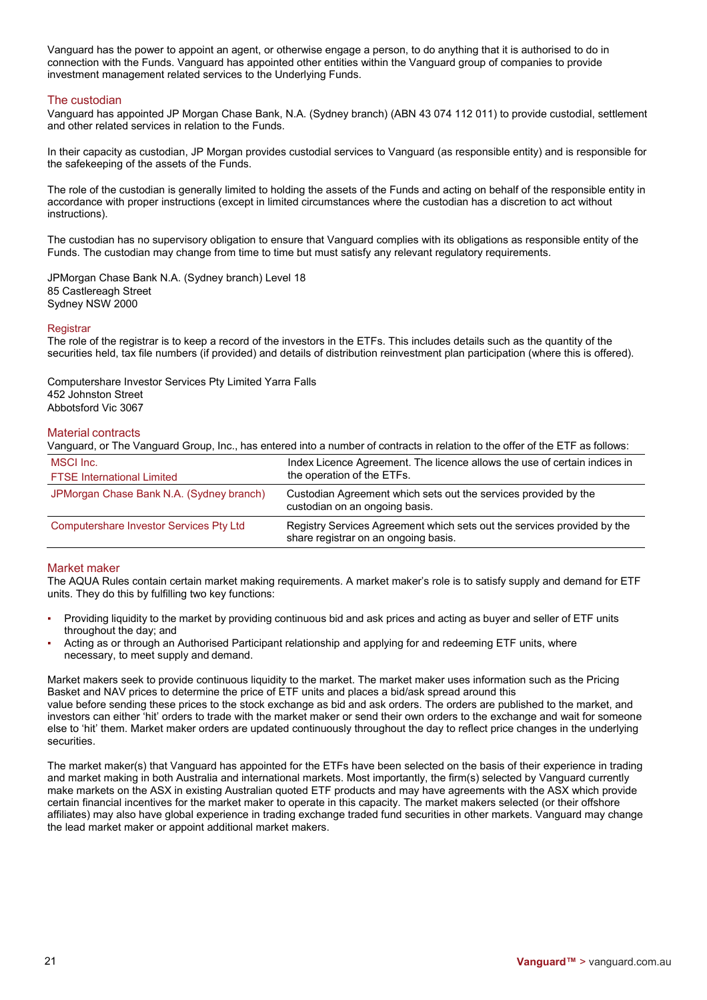Vanguard has the power to appoint an agent, or otherwise engage a person, to do anything that it is authorised to do in connection with the Funds. Vanguard has appointed other entities within the Vanguard group of companies to provide investment management related services to the Underlying Funds.

# The custodian

Vanguard has appointed JP Morgan Chase Bank, N.A. (Sydney branch) (ABN 43 074 112 011) to provide custodial, settlement and other related services in relation to the Funds.

In their capacity as custodian, JP Morgan provides custodial services to Vanguard (as responsible entity) and is responsible for the safekeeping of the assets of the Funds.

The role of the custodian is generally limited to holding the assets of the Funds and acting on behalf of the responsible entity in accordance with proper instructions (except in limited circumstances where the custodian has a discretion to act without instructions).

The custodian has no supervisory obligation to ensure that Vanguard complies with its obligations as responsible entity of the Funds. The custodian may change from time to time but must satisfy any relevant regulatory requirements.

JPMorgan Chase Bank N.A. (Sydney branch) Level 18 85 Castlereagh Street Sydney NSW 2000

# **Registrar**

The role of the registrar is to keep a record of the investors in the ETFs. This includes details such as the quantity of the securities held, tax file numbers (if provided) and details of distribution reinvestment plan participation (where this is offered).

Computershare Investor Services Pty Limited Yarra Falls 452 Johnston Street Abbotsford Vic 3067

# Material contracts

| Vanguard, or The Vanguard Group, Inc., has entered into a number of contracts in relation to the offer of the ETF as follows: |                                                                                                                 |  |
|-------------------------------------------------------------------------------------------------------------------------------|-----------------------------------------------------------------------------------------------------------------|--|
| MSCI Inc.                                                                                                                     | Index Licence Agreement. The licence allows the use of certain indices in                                       |  |
| <b>FTSE</b> International Limited                                                                                             | the operation of the ETFs.                                                                                      |  |
| JPMorgan Chase Bank N.A. (Sydney branch)                                                                                      | Custodian Agreement which sets out the services provided by the<br>custodian on an ongoing basis.               |  |
| Computershare Investor Services Pty Ltd                                                                                       | Registry Services Agreement which sets out the services provided by the<br>share registrar on an ongoing basis. |  |

# Market maker

The AQUA Rules contain certain market making requirements. A market maker's role is to satisfy supply and demand for ETF units. They do this by fulfilling two key functions:

- Providing liquidity to the market by providing continuous bid and ask prices and acting as buyer and seller of ETF units throughout the day; and
- Acting as or through an Authorised Participant relationship and applying for and redeeming ETF units, where necessary, to meet supply and demand.

Market makers seek to provide continuous liquidity to the market. The market maker uses information such as the Pricing Basket and NAV prices to determine the price of ETF units and places a bid/ask spread around this value before sending these prices to the stock exchange as bid and ask orders. The orders are published to the market, and investors can either 'hit' orders to trade with the market maker or send their own orders to the exchange and wait for someone else to 'hit' them. Market maker orders are updated continuously throughout the day to reflect price changes in the underlying securities.

The market maker(s) that Vanguard has appointed for the ETFs have been selected on the basis of their experience in trading and market making in both Australia and international markets. Most importantly, the firm(s) selected by Vanguard currently make markets on the ASX in existing Australian quoted ETF products and may have agreements with the ASX which provide certain financial incentives for the market maker to operate in this capacity. The market makers selected (or their offshore affiliates) may also have global experience in trading exchange traded fund securities in other markets. Vanguard may change the lead market maker or appoint additional market makers.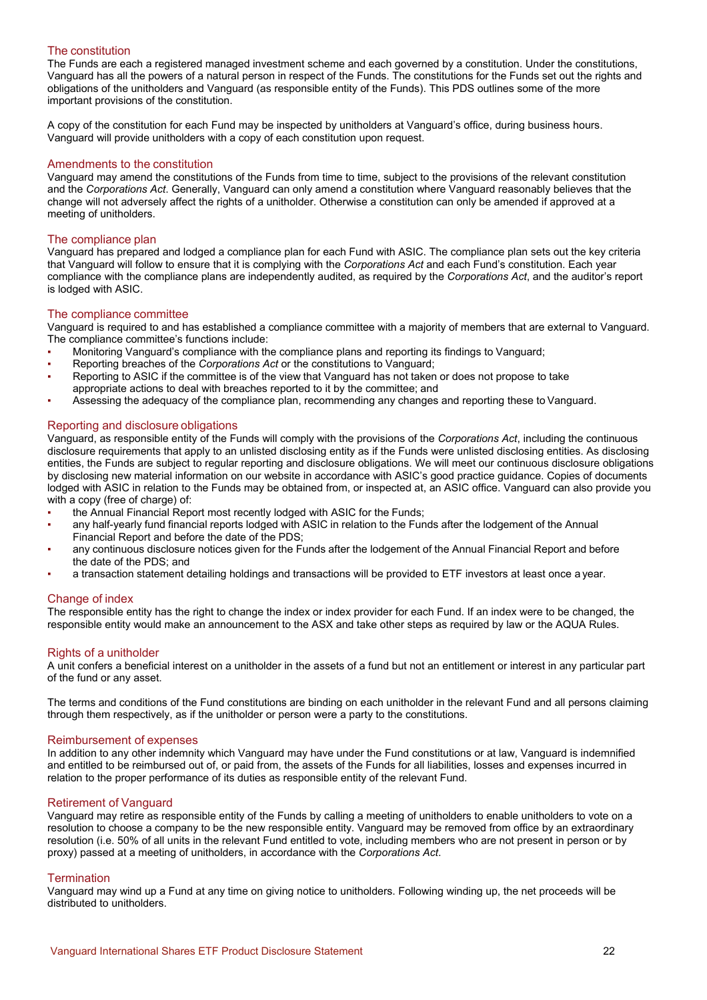### The constitution

The Funds are each a registered managed investment scheme and each governed by a constitution. Under the constitutions, Vanguard has all the powers of a natural person in respect of the Funds. The constitutions for the Funds set out the rights and obligations of the unitholders and Vanguard (as responsible entity of the Funds). This PDS outlines some of the more important provisions of the constitution.

A copy of the constitution for each Fund may be inspected by unitholders at Vanguard's office, during business hours. Vanguard will provide unitholders with a copy of each constitution upon request.

### Amendments to the constitution

Vanguard may amend the constitutions of the Funds from time to time, subject to the provisions of the relevant constitution and the *Corporations Act*. Generally, Vanguard can only amend a constitution where Vanguard reasonably believes that the change will not adversely affect the rights of a unitholder. Otherwise a constitution can only be amended if approved at a meeting of unitholders.

### The compliance plan

Vanguard has prepared and lodged a compliance plan for each Fund with ASIC. The compliance plan sets out the key criteria that Vanguard will follow to ensure that it is complying with the *Corporations Act* and each Fund's constitution. Each year compliance with the compliance plans are independently audited, as required by the *Corporations Act*, and the auditor's report is lodged with ASIC.

### The compliance committee

Vanguard is required to and has established a compliance committee with a majority of members that are external to Vanguard. The compliance committee's functions include:

- Monitoring Vanguard's compliance with the compliance plans and reporting its findings to Vanguard;
- Reporting breaches of the *Corporations Act* or the constitutions to Vanguard;
- Reporting to ASIC if the committee is of the view that Vanguard has not taken or does not propose to take appropriate actions to deal with breaches reported to it by the committee; and
- Assessing the adequacy of the compliance plan, recommending any changes and reporting these to Vanguard.

### Reporting and disclosure obligations

Vanguard, as responsible entity of the Funds will comply with the provisions of the *Corporations Act*, including the continuous disclosure requirements that apply to an unlisted disclosing entity as if the Funds were unlisted disclosing entities. As disclosing entities, the Funds are subject to regular reporting and disclosure obligations. We will meet our continuous disclosure obligations by disclosing new material information on our website in accordance with ASIC's good practice guidance. Copies of documents lodged with ASIC in relation to the Funds may be obtained from, or inspected at, an ASIC office. Vanguard can also provide you with a copy (free of charge) of:

- the Annual Financial Report most recently lodged with ASIC for the Funds;
- any half-yearly fund financial reports lodged with ASIC in relation to the Funds after the lodgement of the Annual Financial Report and before the date of the PDS;
- any continuous disclosure notices given for the Funds after the lodgement of the Annual Financial Report and before the date of the PDS; and
- a transaction statement detailing holdings and transactions will be provided to ETF investors at least once a year.

### Change of index

The responsible entity has the right to change the index or index provider for each Fund. If an index were to be changed, the responsible entity would make an announcement to the ASX and take other steps as required by law or the AQUA Rules.

### Rights of a unitholder

A unit confers a beneficial interest on a unitholder in the assets of a fund but not an entitlement or interest in any particular part of the fund or any asset.

The terms and conditions of the Fund constitutions are binding on each unitholder in the relevant Fund and all persons claiming through them respectively, as if the unitholder or person were a party to the constitutions.

#### Reimbursement of expenses

In addition to any other indemnity which Vanguard may have under the Fund constitutions or at law, Vanguard is indemnified and entitled to be reimbursed out of, or paid from, the assets of the Funds for all liabilities, losses and expenses incurred in relation to the proper performance of its duties as responsible entity of the relevant Fund.

### Retirement of Vanguard

Vanguard may retire as responsible entity of the Funds by calling a meeting of unitholders to enable unitholders to vote on a resolution to choose a company to be the new responsible entity. Vanguard may be removed from office by an extraordinary resolution (i.e. 50% of all units in the relevant Fund entitled to vote, including members who are not present in person or by proxy) passed at a meeting of unitholders, in accordance with the *Corporations Act*.

### **Termination**

Vanguard may wind up a Fund at any time on giving notice to unitholders. Following winding up, the net proceeds will be distributed to unitholders.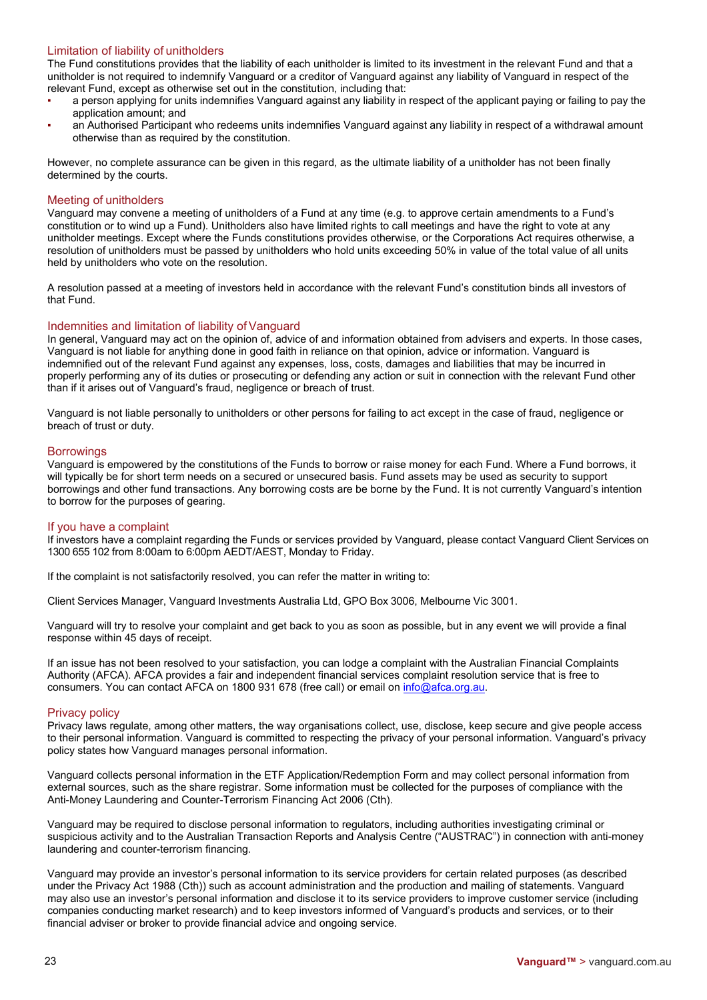# Limitation of liability of unitholders

The Fund constitutions provides that the liability of each unitholder is limited to its investment in the relevant Fund and that a unitholder is not required to indemnify Vanguard or a creditor of Vanguard against any liability of Vanguard in respect of the relevant Fund, except as otherwise set out in the constitution, including that:

- a person applying for units indemnifies Vanguard against any liability in respect of the applicant paying or failing to pay the application amount; and
- an Authorised Participant who redeems units indemnifies Vanguard against any liability in respect of a withdrawal amount otherwise than as required by the constitution.

However, no complete assurance can be given in this regard, as the ultimate liability of a unitholder has not been finally determined by the courts.

### Meeting of unitholders

Vanguard may convene a meeting of unitholders of a Fund at any time (e.g. to approve certain amendments to a Fund's constitution or to wind up a Fund). Unitholders also have limited rights to call meetings and have the right to vote at any unitholder meetings. Except where the Funds constitutions provides otherwise, or the Corporations Act requires otherwise, a resolution of unitholders must be passed by unitholders who hold units exceeding 50% in value of the total value of all units held by unitholders who vote on the resolution.

A resolution passed at a meeting of investors held in accordance with the relevant Fund's constitution binds all investors of that Fund.

### Indemnities and limitation of liability of Vanguard

In general, Vanguard may act on the opinion of, advice of and information obtained from advisers and experts. In those cases, Vanguard is not liable for anything done in good faith in reliance on that opinion, advice or information. Vanguard is indemnified out of the relevant Fund against any expenses, loss, costs, damages and liabilities that may be incurred in properly performing any of its duties or prosecuting or defending any action or suit in connection with the relevant Fund other than if it arises out of Vanguard's fraud, negligence or breach of trust.

Vanguard is not liable personally to unitholders or other persons for failing to act except in the case of fraud, negligence or breach of trust or duty.

### **Borrowings**

Vanguard is empowered by the constitutions of the Funds to borrow or raise money for each Fund. Where a Fund borrows, it will typically be for short term needs on a secured or unsecured basis. Fund assets may be used as security to support borrowings and other fund transactions. Any borrowing costs are be borne by the Fund. It is not currently Vanguard's intention to borrow for the purposes of gearing.

### If you have a complaint

If investors have a complaint regarding the Funds or services provided by Vanguard, please contact Vanguard Client Services on 1300 655 102 from 8:00am to 6:00pm AEDT/AEST, Monday to Friday.

If the complaint is not satisfactorily resolved, you can refer the matter in writing to:

Client Services Manager, Vanguard Investments Australia Ltd, GPO Box 3006, Melbourne Vic 3001.

Vanguard will try to resolve your complaint and get back to you as soon as possible, but in any event we will provide a final response within 45 days of receipt.

If an issue has not been resolved to your satisfaction, you can lodge a complaint with the Australian Financial Complaints Authority (AFCA). AFCA provides a fair and independent financial services complaint resolution service that is free to consumers. You can contact AFCA on 1800 931 678 (free call) or email on info@afca.org.au.

### Privacy policy

Privacy laws regulate, among other matters, the way organisations collect, use, disclose, keep secure and give people access to their personal information. Vanguard is committed to respecting the privacy of your personal information. Vanguard's privacy policy states how Vanguard manages personal information.

Vanguard collects personal information in the ETF Application/Redemption Form and may collect personal information from external sources, such as the share registrar. Some information must be collected for the purposes of compliance with the Anti-Money Laundering and Counter-Terrorism Financing Act 2006 (Cth).

Vanguard may be required to disclose personal information to regulators, including authorities investigating criminal or suspicious activity and to the Australian Transaction Reports and Analysis Centre ("AUSTRAC") in connection with anti-money laundering and counter-terrorism financing.

Vanguard may provide an investor's personal information to its service providers for certain related purposes (as described under the Privacy Act 1988 (Cth)) such as account administration and the production and mailing of statements. Vanguard may also use an investor's personal information and disclose it to its service providers to improve customer service (including companies conducting market research) and to keep investors informed of Vanguard's products and services, or to their financial adviser or broker to provide financial advice and ongoing service.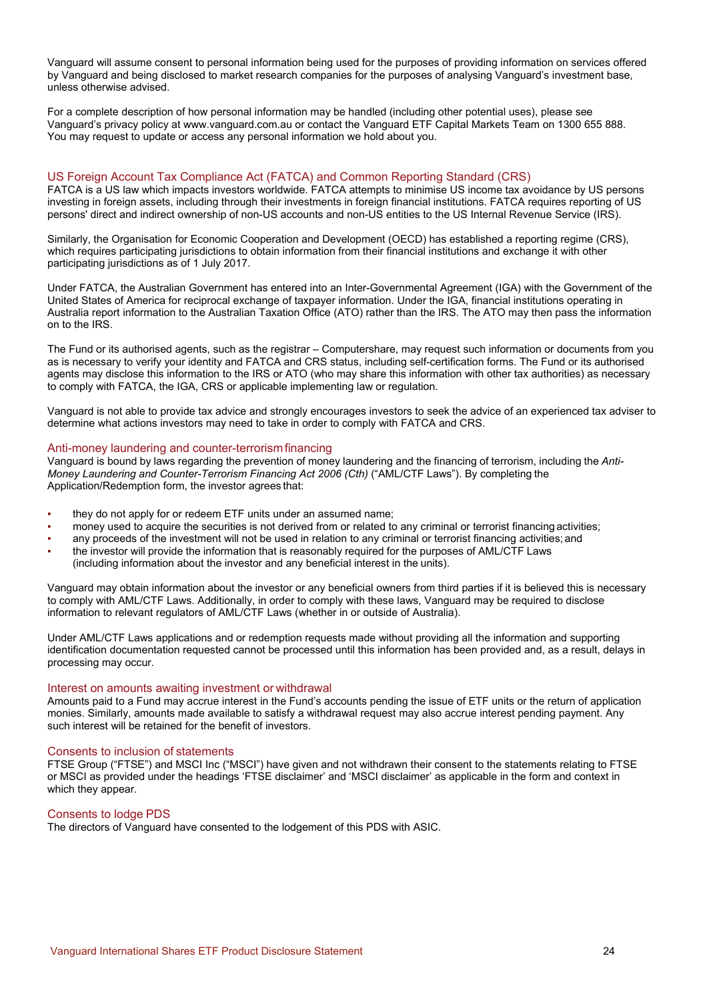Vanguard will assume consent to personal information being used for the purposes of providing information on services offered by Vanguard and being disclosed to market research companies for the purposes of analysing Vanguard's investment base, unless otherwise advised.

For a complete description of how personal information may be handled (including other potential uses), please see Vanguard's privacy policy at www.vanguard.com.au or contact the Vanguard ETF Capital Markets Team on 1300 655 888. You may request to update or access any personal information we hold about you.

# US Foreign Account Tax Compliance Act (FATCA) and Common Reporting Standard (CRS)

FATCA is a US law which impacts investors worldwide. FATCA attempts to minimise US income tax avoidance by US persons investing in foreign assets, including through their investments in foreign financial institutions. FATCA requires reporting of US persons' direct and indirect ownership of non-US accounts and non-US entities to the US Internal Revenue Service (IRS).

Similarly, the Organisation for Economic Cooperation and Development (OECD) has established a reporting regime (CRS), which requires participating jurisdictions to obtain information from their financial institutions and exchange it with other participating jurisdictions as of 1 July 2017.

Under FATCA, the Australian Government has entered into an Inter-Governmental Agreement (IGA) with the Government of the United States of America for reciprocal exchange of taxpayer information. Under the IGA, financial institutions operating in Australia report information to the Australian Taxation Office (ATO) rather than the IRS. The ATO may then pass the information on to the IRS.

The Fund or its authorised agents, such as the registrar – Computershare, may request such information or documents from you as is necessary to verify your identity and FATCA and CRS status, including self-certification forms. The Fund or its authorised agents may disclose this information to the IRS or ATO (who may share this information with other tax authorities) as necessary to comply with FATCA, the IGA, CRS or applicable implementing law or regulation.

Vanguard is not able to provide tax advice and strongly encourages investors to seek the advice of an experienced tax adviser to determine what actions investors may need to take in order to comply with FATCA and CRS.

### Anti-money laundering and counter-terrorismfinancing

Vanguard is bound by laws regarding the prevention of money laundering and the financing of terrorism, including the *Anti-Money Laundering and Counter-Terrorism Financing Act 2006 (Cth)* ("AML/CTF Laws"). By completing the Application/Redemption form, the investor agrees that:

- they do not apply for or redeem ETF units under an assumed name;
- money used to acquire the securities is not derived from or related to any criminal or terrorist financing activities;
- any proceeds of the investment will not be used in relation to any criminal or terrorist financing activities; and
- the investor will provide the information that is reasonably required for the purposes of AML/CTF Laws (including information about the investor and any beneficial interest in the units).

Vanguard may obtain information about the investor or any beneficial owners from third parties if it is believed this is necessary to comply with AML/CTF Laws. Additionally, in order to comply with these laws, Vanguard may be required to disclose information to relevant regulators of AML/CTF Laws (whether in or outside of Australia).

Under AML/CTF Laws applications and or redemption requests made without providing all the information and supporting identification documentation requested cannot be processed until this information has been provided and, as a result, delays in processing may occur.

# Interest on amounts awaiting investment or withdrawal

Amounts paid to a Fund may accrue interest in the Fund's accounts pending the issue of ETF units or the return of application monies. Similarly, amounts made available to satisfy a withdrawal request may also accrue interest pending payment. Any such interest will be retained for the benefit of investors.

# Consents to inclusion of statements

FTSE Group ("FTSE") and MSCI Inc ("MSCI") have given and not withdrawn their consent to the statements relating to FTSE or MSCI as provided under the headings 'FTSE disclaimer' and 'MSCI disclaimer' as applicable in the form and context in which they appear.

# Consents to lodge PDS

The directors of Vanguard have consented to the lodgement of this PDS with ASIC.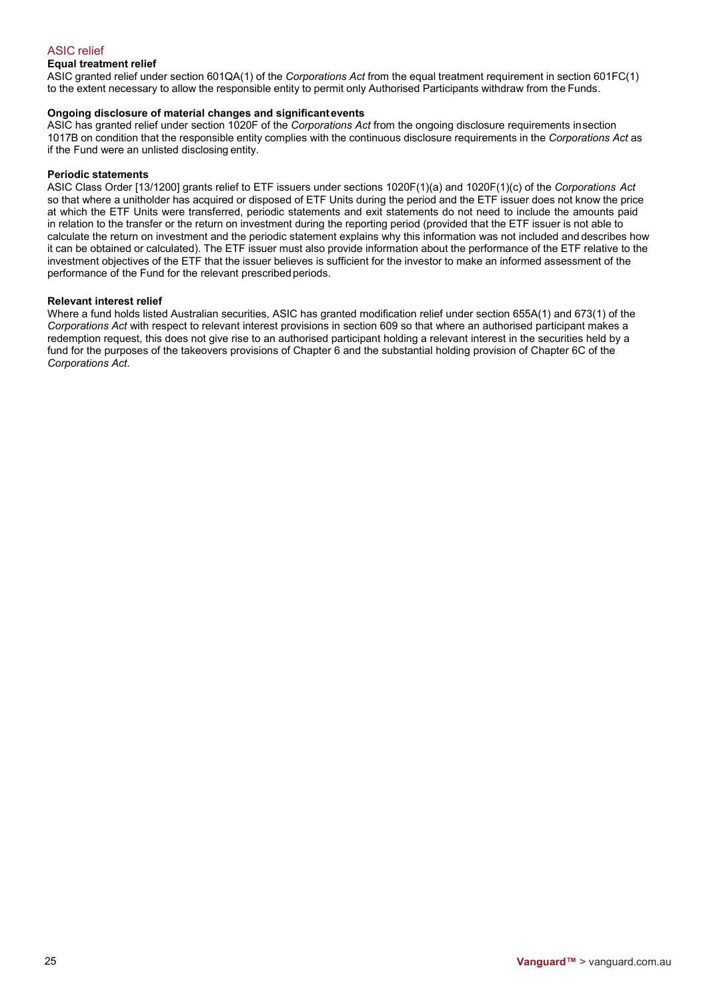# ASIC relief

# **Equal treatment relief**

ASIC granted relief under section 601QA(1) of the *Corporations Act* from the equal treatment requirement in section 601FC(1) to the extent necessary to allow the responsible entity to permit only Authorised Participants withdraw from the Funds.

### **Ongoing disclosure of material changes and significantevents**

ASIC has granted relief under section 1020F of the *Corporations Act* from the ongoing disclosure requirements insection 1017B on condition that the responsible entity complies with the continuous disclosure requirements in the *Corporations Act* as if the Fund were an unlisted disclosing entity.

### **Periodic statements**

ASIC Class Order [13/1200] grants relief to ETF issuers under sections 1020F(1)(a) and 1020F(1)(c) of the *Corporations Act* so that where a unitholder has acquired or disposed of ETF Units during the period and the ETF issuer does not know the price at which the ETF Units were transferred, periodic statements and exit statements do not need to include the amounts paid in relation to the transfer or the return on investment during the reporting period (provided that the ETF issuer is not able to calculate the return on investment and the periodic statement explains why this information was not included and describes how it can be obtained or calculated). The ETF issuer must also provide information about the performance of the ETF relative to the investment objectives of the ETF that the issuer believes is sufficient for the investor to make an informed assessment of the performance of the Fund for the relevant prescribed periods.

### **Relevant interest relief**

Where a fund holds listed Australian securities, ASIC has granted modification relief under section 655A(1) and 673(1) of the *Corporations Act* with respect to relevant interest provisions in section 609 so that where an authorised participant makes a redemption request, this does not give rise to an authorised participant holding a relevant interest in the securities held by a fund for the purposes of the takeovers provisions of Chapter 6 and the substantial holding provision of Chapter 6C of the *Corporations Act*.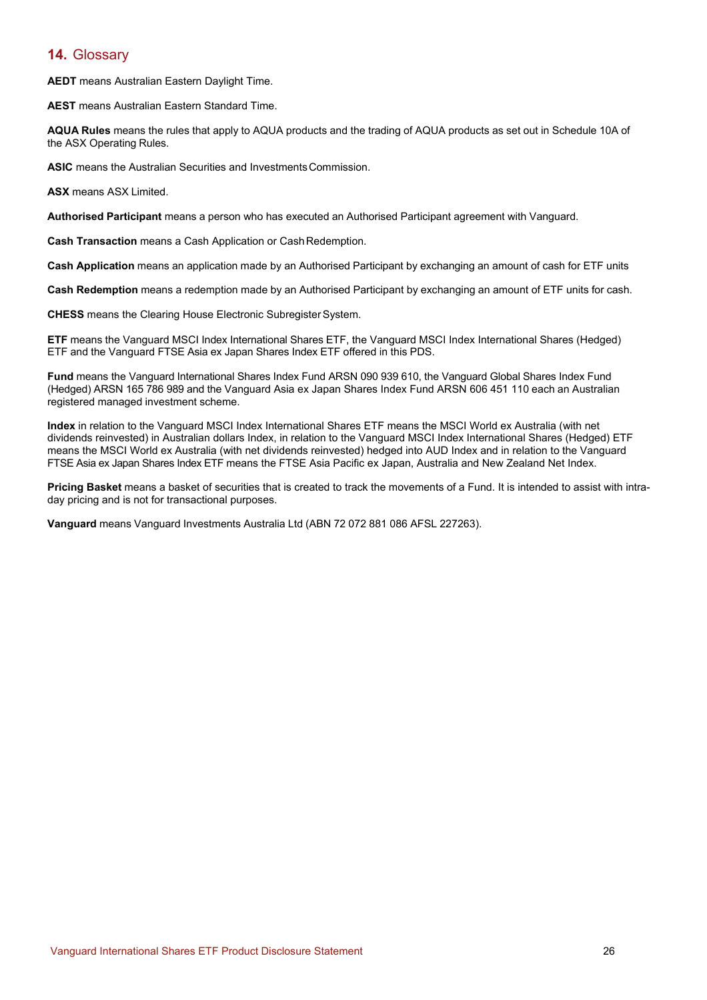# **14.** Glossary

**AEDT** means Australian Eastern Daylight Time.

**AEST** means Australian Eastern Standard Time.

**AQUA Rules** means the rules that apply to AQUA products and the trading of AQUA products as set out in Schedule 10A of the ASX Operating Rules.

**ASIC** means the Australian Securities and InvestmentsCommission.

**ASX** means ASX Limited.

**Authorised Participant** means a person who has executed an Authorised Participant agreement with Vanguard.

**Cash Transaction** means a Cash Application or CashRedemption.

**Cash Application** means an application made by an Authorised Participant by exchanging an amount of cash for ETF units

**Cash Redemption** means a redemption made by an Authorised Participant by exchanging an amount of ETF units for cash.

**CHESS** means the Clearing House Electronic SubregisterSystem.

**ETF** means the Vanguard MSCI Index International Shares ETF, the Vanguard MSCI Index International Shares (Hedged) ETF and the Vanguard FTSE Asia ex Japan Shares Index ETF offered in this PDS.

**Fund** means the Vanguard International Shares Index Fund ARSN 090 939 610, the Vanguard Global Shares Index Fund (Hedged) ARSN 165 786 989 and the Vanguard Asia ex Japan Shares Index Fund ARSN 606 451 110 each an Australian registered managed investment scheme.

**Index** in relation to the Vanguard MSCI Index International Shares ETF means the MSCI World ex Australia (with net dividends reinvested) in Australian dollars Index, in relation to the Vanguard MSCI Index International Shares (Hedged) ETF means the MSCI World ex Australia (with net dividends reinvested) hedged into AUD Index and in relation to the Vanguard FTSE Asia ex Japan Shares Index ETF means the FTSE Asia Pacific ex Japan, Australia and New Zealand Net Index.

**Pricing Basket** means a basket of securities that is created to track the movements of a Fund. It is intended to assist with intraday pricing and is not for transactional purposes.

**Vanguard** means Vanguard Investments Australia Ltd (ABN 72 072 881 086 AFSL 227263).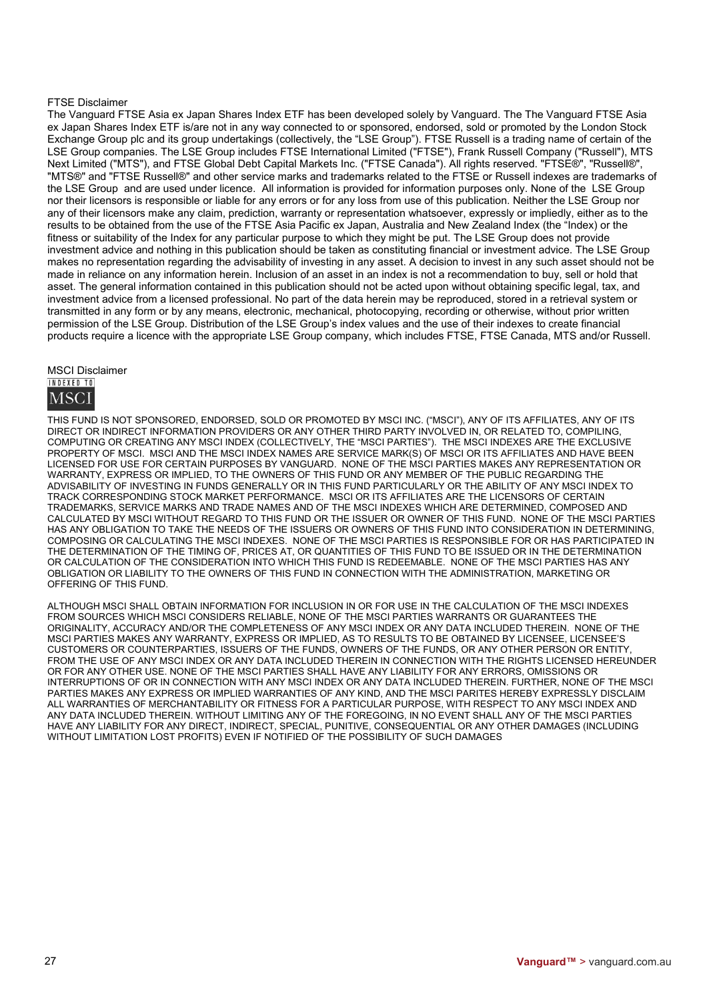### FTSE Disclaimer

The Vanguard FTSE Asia ex Japan Shares Index ETF has been developed solely by Vanguard. The The Vanguard FTSE Asia ex Japan Shares Index ETF is/are not in any way connected to or sponsored, endorsed, sold or promoted by the London Stock Exchange Group plc and its group undertakings (collectively, the "LSE Group"). FTSE Russell is a trading name of certain of the LSE Group companies. The LSE Group includes FTSE International Limited ("FTSE"), Frank Russell Company ("Russell"), MTS Next Limited ("MTS"), and FTSE Global Debt Capital Markets Inc. ("FTSE Canada"). All rights reserved. "FTSE®", "Russell®", "MTS®" and "FTSE Russell®" and other service marks and trademarks related to the FTSE or Russell indexes are trademarks of the LSE Group and are used under licence. All information is provided for information purposes only. None of the LSE Group nor their licensors is responsible or liable for any errors or for any loss from use of this publication. Neither the LSE Group nor any of their licensors make any claim, prediction, warranty or representation whatsoever, expressly or impliedly, either as to the results to be obtained from the use of the FTSE Asia Pacific ex Japan, Australia and New Zealand Index (the "Index) or the fitness or suitability of the Index for any particular purpose to which they might be put. The LSE Group does not provide investment advice and nothing in this publication should be taken as constituting financial or investment advice. The LSE Group makes no representation regarding the advisability of investing in any asset. A decision to invest in any such asset should not be made in reliance on any information herein. Inclusion of an asset in an index is not a recommendation to buy, sell or hold that asset. The general information contained in this publication should not be acted upon without obtaining specific legal, tax, and investment advice from a licensed professional. No part of the data herein may be reproduced, stored in a retrieval system or transmitted in any form or by any means, electronic, mechanical, photocopying, recording or otherwise, without prior written permission of the LSE Group. Distribution of the LSE Group's index values and the use of their indexes to create financial products require a licence with the appropriate LSE Group company, which includes FTSE, FTSE Canada, MTS and/or Russell.

**MSCI Disclaimer** 



THIS FUND IS NOT SPONSORED, ENDORSED, SOLD OR PROMOTED BY MSCI INC. ("MSCI"), ANY OF ITS AFFILIATES, ANY OF ITS DIRECT OR INDIRECT INFORMATION PROVIDERS OR ANY OTHER THIRD PARTY INVOLVED IN, OR RELATED TO, COMPILING, COMPUTING OR CREATING ANY MSCI INDEX (COLLECTIVELY, THE "MSCI PARTIES"). THE MSCI INDEXES ARE THE EXCLUSIVE PROPERTY OF MSCI. MSCI AND THE MSCI INDEX NAMES ARE SERVICE MARK(S) OF MSCI OR ITS AFFILIATES AND HAVE BEEN LICENSED FOR USE FOR CERTAIN PURPOSES BY VANGUARD. NONE OF THE MSCI PARTIES MAKES ANY REPRESENTATION OR WARRANTY, EXPRESS OR IMPLIED, TO THE OWNERS OF THIS FUND OR ANY MEMBER OF THE PUBLIC REGARDING THE ADVISABILITY OF INVESTING IN FUNDS GENERALLY OR IN THIS FUND PARTICULARLY OR THE ABILITY OF ANY MSCI INDEX TO TRACK CORRESPONDING STOCK MARKET PERFORMANCE. MSCI OR ITS AFFILIATES ARE THE LICENSORS OF CERTAIN TRADEMARKS, SERVICE MARKS AND TRADE NAMES AND OF THE MSCI INDEXES WHICH ARE DETERMINED, COMPOSED AND CALCULATED BY MSCI WITHOUT REGARD TO THIS FUND OR THE ISSUER OR OWNER OF THIS FUND. NONE OF THE MSCI PARTIES HAS ANY OBLIGATION TO TAKE THE NEEDS OF THE ISSUERS OR OWNERS OF THIS FUND INTO CONSIDERATION IN DETERMINING, COMPOSING OR CALCULATING THE MSCI INDEXES. NONE OF THE MSCI PARTIES IS RESPONSIBLE FOR OR HAS PARTICIPATED IN THE DETERMINATION OF THE TIMING OF, PRICES AT, OR QUANTITIES OF THIS FUND TO BE ISSUED OR IN THE DETERMINATION OR CALCULATION OF THE CONSIDERATION INTO WHICH THIS FUND IS REDEEMABLE. NONE OF THE MSCI PARTIES HAS ANY OBLIGATION OR LIABILITY TO THE OWNERS OF THIS FUND IN CONNECTION WITH THE ADMINISTRATION, MARKETING OR OFFERING OF THIS FUND.

ALTHOUGH MSCI SHALL OBTAIN INFORMATION FOR INCLUSION IN OR FOR USE IN THE CALCULATION OF THE MSCI INDEXES FROM SOURCES WHICH MSCI CONSIDERS RELIABLE, NONE OF THE MSCI PARTIES WARRANTS OR GUARANTEES THE ORIGINALITY, ACCURACY AND/OR THE COMPLETENESS OF ANY MSCI INDEX OR ANY DATA INCLUDED THEREIN. NONE OF THE MSCI PARTIES MAKES ANY WARRANTY, EXPRESS OR IMPLIED, AS TO RESULTS TO BE OBTAINED BY LICENSEE, LICENSEE'S CUSTOMERS OR COUNTERPARTIES, ISSUERS OF THE FUNDS, OWNERS OF THE FUNDS, OR ANY OTHER PERSON OR ENTITY, FROM THE USE OF ANY MSCI INDEX OR ANY DATA INCLUDED THEREIN IN CONNECTION WITH THE RIGHTS LICENSED HEREUNDER OR FOR ANY OTHER USE. NONE OF THE MSCI PARTIES SHALL HAVE ANY LIABILITY FOR ANY ERRORS, OMISSIONS OR INTERRUPTIONS OF OR IN CONNECTION WITH ANY MSCI INDEX OR ANY DATA INCLUDED THEREIN. FURTHER, NONE OF THE MSCI PARTIES MAKES ANY EXPRESS OR IMPLIED WARRANTIES OF ANY KIND, AND THE MSCI PARITES HEREBY EXPRESSLY DISCLAIM ALL WARRANTIES OF MERCHANTABILITY OR FITNESS FOR A PARTICULAR PURPOSE, WITH RESPECT TO ANY MSCI INDEX AND ANY DATA INCLUDED THEREIN. WITHOUT LIMITING ANY OF THE FOREGOING, IN NO EVENT SHALL ANY OF THE MSCI PARTIES HAVE ANY LIABILITY FOR ANY DIRECT, INDIRECT, SPECIAL, PUNITIVE, CONSEQUENTIAL OR ANY OTHER DAMAGES (INCLUDING WITHOUT LIMITATION LOST PROFITS) EVEN IF NOTIFIED OF THE POSSIBILITY OF SUCH DAMAGES